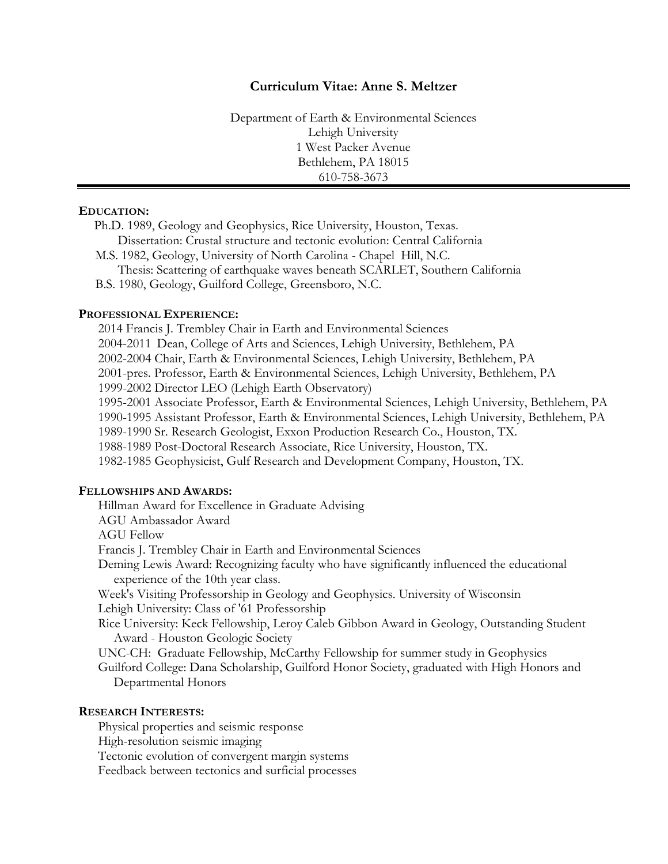# **Curriculum Vitae: Anne S. Meltzer**

Department of Earth & Environmental Sciences Lehigh University 1 West Packer Avenue Bethlehem, PA 18015 610-758-3673

## **EDUCATION:**

Ph.D. 1989, Geology and Geophysics, Rice University, Houston, Texas. Dissertation: Crustal structure and tectonic evolution: Central California M.S. 1982, Geology, University of North Carolina - Chapel Hill, N.C. Thesis: Scattering of earthquake waves beneath SCARLET, Southern California B.S. 1980, Geology, Guilford College, Greensboro, N.C.

#### **PROFESSIONAL EXPERIENCE:**

2014 Francis J. Trembley Chair in Earth and Environmental Sciences 2004-2011 Dean, College of Arts and Sciences, Lehigh University, Bethlehem, PA 2002-2004 Chair, Earth & Environmental Sciences, Lehigh University, Bethlehem, PA 2001-pres. Professor, Earth & Environmental Sciences, Lehigh University, Bethlehem, PA 1999-2002 Director LEO (Lehigh Earth Observatory) 1995-2001 Associate Professor, Earth & Environmental Sciences, Lehigh University, Bethlehem, PA 1990-1995 Assistant Professor, Earth & Environmental Sciences, Lehigh University, Bethlehem, PA 1989-1990 Sr. Research Geologist, Exxon Production Research Co., Houston, TX. 1988-1989 Post-Doctoral Research Associate, Rice University, Houston, TX. 1982-1985 Geophysicist, Gulf Research and Development Company, Houston, TX.

## **FELLOWSHIPS AND AWARDS:**

Hillman Award for Excellence in Graduate Advising

AGU Ambassador Award

AGU Fellow

Francis J. Trembley Chair in Earth and Environmental Sciences

Deming Lewis Award: Recognizing faculty who have significantly influenced the educational experience of the 10th year class.

Week's Visiting Professorship in Geology and Geophysics. University of Wisconsin Lehigh University: Class of '61 Professorship

Rice University: Keck Fellowship, Leroy Caleb Gibbon Award in Geology, Outstanding Student Award - Houston Geologic Society

UNC-CH: Graduate Fellowship, McCarthy Fellowship for summer study in Geophysics

Guilford College: Dana Scholarship, Guilford Honor Society, graduated with High Honors and Departmental Honors

#### **RESEARCH INTERESTS:**

Physical properties and seismic response

High-resolution seismic imaging

Tectonic evolution of convergent margin systems

Feedback between tectonics and surficial processes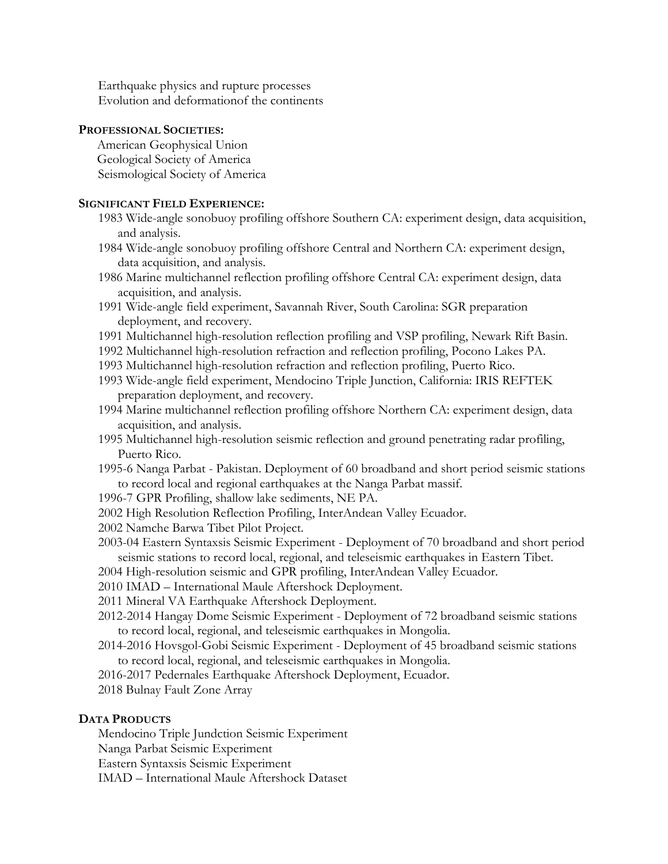Earthquake physics and rupture processes Evolution and deformationof the continents

#### **PROFESSIONAL SOCIETIES:**

American Geophysical Union Geological Society of America Seismological Society of America

# **SIGNIFICANT FIELD EXPERIENCE:**

- 1983 Wide-angle sonobuoy profiling offshore Southern CA: experiment design, data acquisition, and analysis.
- 1984 Wide-angle sonobuoy profiling offshore Central and Northern CA: experiment design, data acquisition, and analysis.
- 1986 Marine multichannel reflection profiling offshore Central CA: experiment design, data acquisition, and analysis.
- 1991 Wide-angle field experiment, Savannah River, South Carolina: SGR preparation deployment, and recovery.
- 1991 Multichannel high-resolution reflection profiling and VSP profiling, Newark Rift Basin.
- 1992 Multichannel high-resolution refraction and reflection profiling, Pocono Lakes PA.
- 1993 Multichannel high-resolution refraction and reflection profiling, Puerto Rico.
- 1993 Wide-angle field experiment, Mendocino Triple Junction, California: IRIS REFTEK preparation deployment, and recovery.
- 1994 Marine multichannel reflection profiling offshore Northern CA: experiment design, data acquisition, and analysis.
- 1995 Multichannel high-resolution seismic reflection and ground penetrating radar profiling, Puerto Rico.
- 1995-6 Nanga Parbat Pakistan. Deployment of 60 broadband and short period seismic stations to record local and regional earthquakes at the Nanga Parbat massif.
- 1996-7 GPR Profiling, shallow lake sediments, NE PA.
- 2002 High Resolution Reflection Profiling, InterAndean Valley Ecuador.
- 2002 Namche Barwa Tibet Pilot Project.
- 2003-04 Eastern Syntaxsis Seismic Experiment Deployment of 70 broadband and short period seismic stations to record local, regional, and teleseismic earthquakes in Eastern Tibet.
- 2004 High-resolution seismic and GPR profiling, InterAndean Valley Ecuador.
- 2010 IMAD International Maule Aftershock Deployment.
- 2011 Mineral VA Earthquake Aftershock Deployment.
- 2012-2014 Hangay Dome Seismic Experiment Deployment of 72 broadband seismic stations to record local, regional, and teleseismic earthquakes in Mongolia.
- 2014-2016 Hovsgol-Gobi Seismic Experiment Deployment of 45 broadband seismic stations to record local, regional, and teleseismic earthquakes in Mongolia.
- 2016-2017 Pedernales Earthquake Aftershock Deployment, Ecuador.
- 2018 Bulnay Fault Zone Array

# **DATA PRODUCTS**

Mendocino Triple Jundction Seismic Experiment Nanga Parbat Seismic Experiment Eastern Syntaxsis Seismic Experiment IMAD – International Maule Aftershock Dataset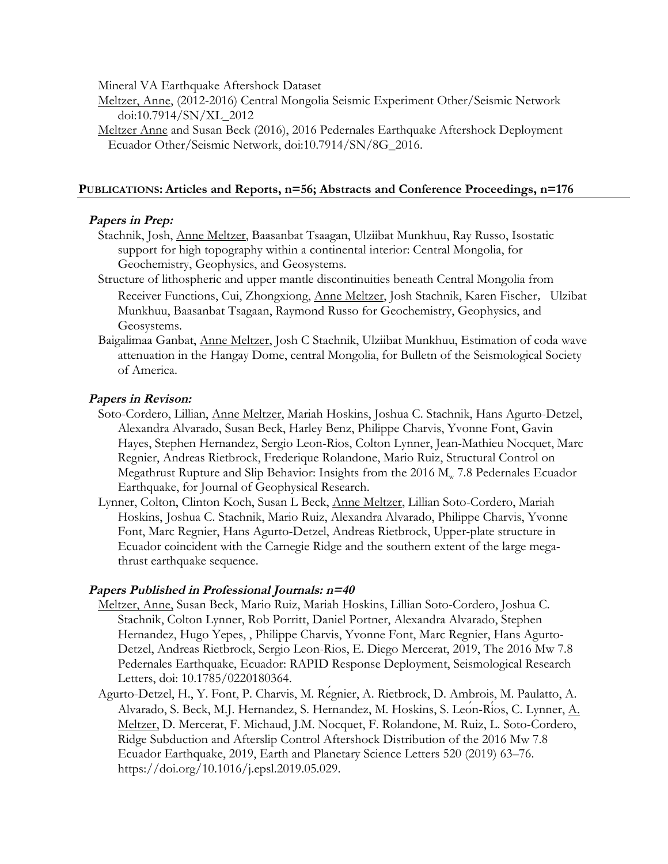Mineral VA Earthquake Aftershock Dataset

Meltzer, Anne, (2012-2016) Central Mongolia Seismic Experiment Other/Seismic Network doi:10.7914/SN/XL\_2012

Meltzer Anne and Susan Beck (2016), 2016 Pedernales Earthquake Aftershock Deployment Ecuador Other/Seismic Network, doi:10.7914/SN/8G\_2016.

## **PUBLICATIONS: Articles and Reports, n=56; Abstracts and Conference Proceedings, n=176**

## **Papers in Prep:**

- Stachnik, Josh, Anne Meltzer, Baasanbat Tsaagan, Ulziibat Munkhuu, Ray Russo, Isostatic support for high topography within a continental interior: Central Mongolia, for Geochemistry, Geophysics, and Geosystems.
- Structure of lithospheric and upper mantle discontinuities beneath Central Mongolia from Receiver Functions, Cui, Zhongxiong, Anne Meltzer, Josh Stachnik, Karen Fischer, Ulzibat Munkhuu, Baasanbat Tsagaan, Raymond Russo for Geochemistry, Geophysics, and Geosystems.
- Baigalimaa Ganbat, Anne Meltzer, Josh C Stachnik, Ulziibat Munkhuu, Estimation of coda wave attenuation in the Hangay Dome, central Mongolia, for Bulletn of the Seismological Society of America.

## **Papers in Revison:**

- Soto-Cordero, Lillian, Anne Meltzer, Mariah Hoskins, Joshua C. Stachnik, Hans Agurto-Detzel, Alexandra Alvarado, Susan Beck, Harley Benz, Philippe Charvis, Yvonne Font, Gavin Hayes, Stephen Hernandez, Sergio Leon-Rios, Colton Lynner, Jean-Mathieu Nocquet, Marc Regnier, Andreas Rietbrock, Frederique Rolandone, Mario Ruiz, Structural Control on Megathrust Rupture and Slip Behavior: Insights from the  $2016 M_w$  7.8 Pedernales Ecuador Earthquake, for Journal of Geophysical Research.
- Lynner, Colton, Clinton Koch, Susan L Beck, Anne Meltzer, Lillian Soto-Cordero, Mariah Hoskins, Joshua C. Stachnik, Mario Ruiz, Alexandra Alvarado, Philippe Charvis, Yvonne Font, Marc Regnier, Hans Agurto-Detzel, Andreas Rietbrock, Upper-plate structure in Ecuador coincident with the Carnegie Ridge and the southern extent of the large megathrust earthquake sequence.

#### **Papers Published in Professional Journals: n=40**

- Meltzer, Anne, Susan Beck, Mario Ruiz, Mariah Hoskins, Lillian Soto-Cordero, Joshua C. Stachnik, Colton Lynner, Rob Porritt, Daniel Portner, Alexandra Alvarado, Stephen Hernandez, Hugo Yepes, , Philippe Charvis, Yvonne Font, Marc Regnier, Hans Agurto-Detzel, Andreas Rietbrock, Sergio Leon-Rios, E. Diego Mercerat, 2019, The 2016 Mw 7.8 Pedernales Earthquake, Ecuador: RAPID Response Deployment, Seismological Research Letters, doi: 10.1785/0220180364.
- Agurto-Detzel, H., Y. Font, P. Charvis, M. Régnier, A. Rietbrock, D. Ambrois, M. Paulatto, A. Alvarado, S. Beck, M.J. Hernandez, S. Hernandez, M. Hoskins, S. León-Ríos, C. Lynner, A. Meltzer, D. Mercerat, F. Michaud, J.M. Nocquet, F. Rolandone, M. Ruiz, L. Soto-Cordero, Ridge Subduction and Afterslip Control Aftershock Distribution of the 2016 Mw 7.8 Ecuador Earthquake, 2019, Earth and Planetary Science Letters 520 (2019) 63–76. https://doi.org/10.1016/j.epsl.2019.05.029.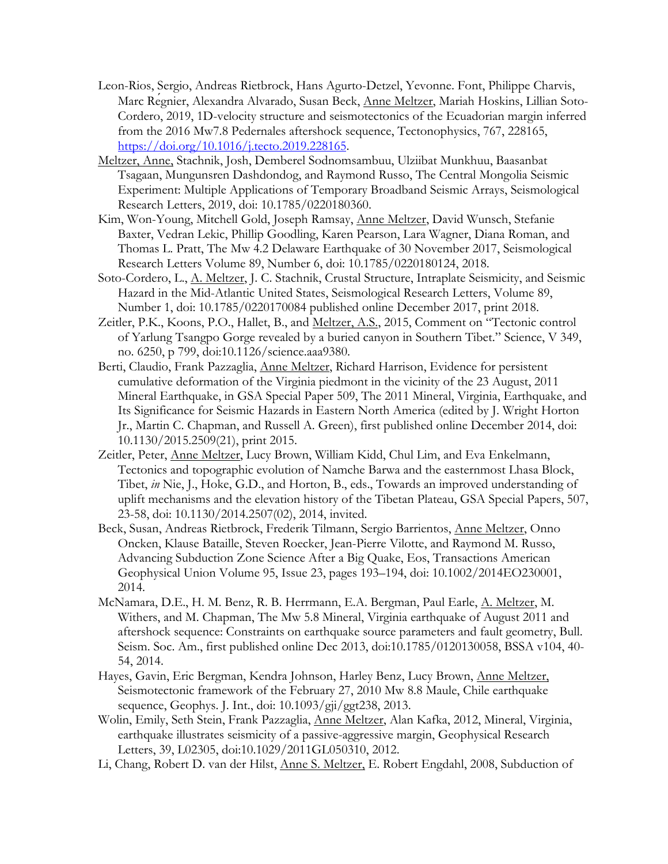- Leon-Rios, Sergio, Andreas Rietbrock, Hans Agurto-Detzel, Yevonne. Font, Philippe Charvis, Marc Regnier, Alexandra Alvarado, Susan Beck, Anne Meltzer, Mariah Hoskins, Lillian Soto-Cordero, 2019, 1D-velocity structure and seismotectonics of the Ecuadorian margin inferred from the 2016 Mw7.8 Pedernales aftershock sequence, Tectonophysics, 767, 228165, https://doi.org/10.1016/j.tecto.2019.228165.
- Meltzer, Anne, Stachnik, Josh, Demberel Sodnomsambuu, Ulziibat Munkhuu, Baasanbat Tsagaan, Mungunsren Dashdondog, and Raymond Russo, The Central Mongolia Seismic Experiment: Multiple Applications of Temporary Broadband Seismic Arrays, Seismological Research Letters, 2019, doi: 10.1785/0220180360.
- Kim, Won-Young, Mitchell Gold, Joseph Ramsay, Anne Meltzer, David Wunsch, Stefanie Baxter, Vedran Lekic, Phillip Goodling, Karen Pearson, Lara Wagner, Diana Roman, and Thomas L. Pratt, The Mw 4.2 Delaware Earthquake of 30 November 2017, Seismological Research Letters Volume 89, Number 6, doi: 10.1785/0220180124, 2018.
- Soto-Cordero, L., A. Meltzer, J. C. Stachnik, Crustal Structure, Intraplate Seismicity, and Seismic Hazard in the Mid-Atlantic United States, Seismological Research Letters, Volume 89, Number 1, doi: 10.1785/0220170084 published online December 2017, print 2018.
- Zeitler, P.K., Koons, P.O., Hallet, B., and Meltzer, A.S., 2015, Comment on "Tectonic control of Yarlung Tsangpo Gorge revealed by a buried canyon in Southern Tibet." Science, V 349, no. 6250, p 799, doi:10.1126/science.aaa9380.
- Berti, Claudio, Frank Pazzaglia, Anne Meltzer, Richard Harrison, Evidence for persistent cumulative deformation of the Virginia piedmont in the vicinity of the 23 August, 2011 Mineral Earthquake, in GSA Special Paper 509, The 2011 Mineral, Virginia, Earthquake, and Its Significance for Seismic Hazards in Eastern North America (edited by J. Wright Horton Jr., Martin C. Chapman, and Russell A. Green), first published online December 2014, doi: 10.1130/2015.2509(21), print 2015.
- Zeitler, Peter, Anne Meltzer, Lucy Brown, William Kidd, Chul Lim, and Eva Enkelmann, Tectonics and topographic evolution of Namche Barwa and the easternmost Lhasa Block, Tibet, *in* Nie, J., Hoke, G.D., and Horton, B., eds., Towards an improved understanding of uplift mechanisms and the elevation history of the Tibetan Plateau, GSA Special Papers, 507, 23-58, doi: 10.1130/2014.2507(02), 2014, invited.
- Beck, Susan, Andreas Rietbrock, Frederik Tilmann, Sergio Barrientos, Anne Meltzer, Onno Oncken, Klause Bataille, Steven Roecker, Jean-Pierre Vilotte, and Raymond M. Russo, Advancing Subduction Zone Science After a Big Quake, Eos, Transactions American Geophysical Union Volume 95, Issue 23, pages 193–194, doi: 10.1002/2014EO230001, 2014.
- McNamara, D.E., H. M. Benz, R. B. Herrmann, E.A. Bergman, Paul Earle, A. Meltzer, M. Withers, and M. Chapman, The Mw 5.8 Mineral, Virginia earthquake of August 2011 and aftershock sequence: Constraints on earthquake source parameters and fault geometry, Bull. Seism. Soc. Am., first published online Dec 2013, doi:10.1785/0120130058, BSSA v104, 40- 54, 2014.
- Hayes, Gavin, Eric Bergman, Kendra Johnson, Harley Benz, Lucy Brown, Anne Meltzer, Seismotectonic framework of the February 27, 2010 Mw 8.8 Maule, Chile earthquake sequence, Geophys. J. Int., doi: 10.1093/gji/ggt238, 2013.
- Wolin, Emily, Seth Stein, Frank Pazzaglia, Anne Meltzer, Alan Kafka, 2012, Mineral, Virginia, earthquake illustrates seismicity of a passive-aggressive margin, Geophysical Research Letters, 39, L02305, doi:10.1029/2011GL050310, 2012.
- Li, Chang, Robert D. van der Hilst, Anne S. Meltzer, E. Robert Engdahl, 2008, Subduction of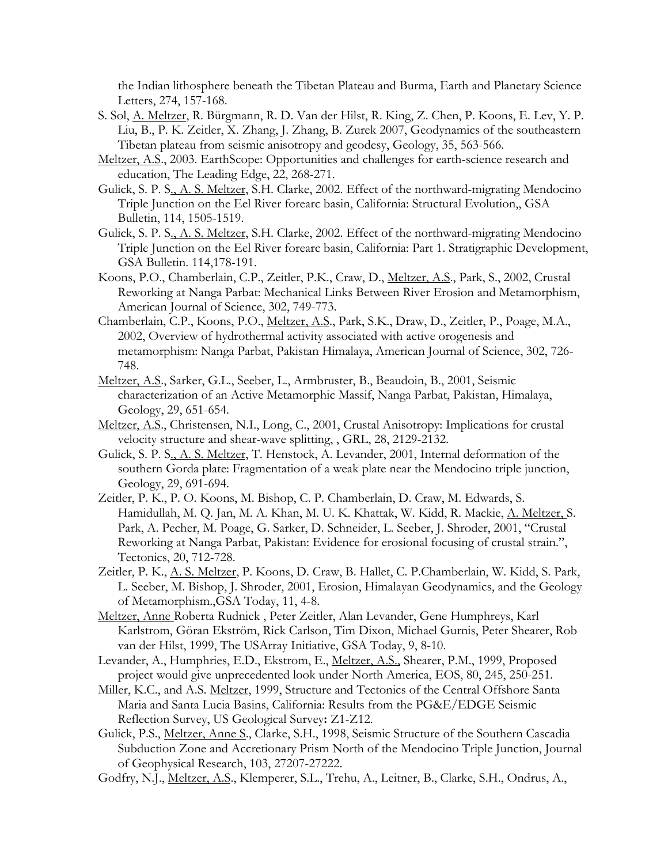the Indian lithosphere beneath the Tibetan Plateau and Burma, Earth and Planetary Science Letters, 274, 157-168.

- S. Sol, A. Meltzer, R. Bürgmann, R. D. Van der Hilst, R. King, Z. Chen, P. Koons, E. Lev, Y. P. Liu, B., P. K. Zeitler, X. Zhang, J. Zhang, B. Zurek 2007, Geodynamics of the southeastern Tibetan plateau from seismic anisotropy and geodesy, Geology, 35, 563-566.
- Meltzer, A.S., 2003. EarthScope: Opportunities and challenges for earth-science research and education, The Leading Edge, 22, 268-271.
- Gulick, S. P. S., A. S. Meltzer, S.H. Clarke, 2002. Effect of the northward-migrating Mendocino Triple Junction on the Eel River forearc basin, California: Structural Evolution,, GSA Bulletin, 114, 1505-1519.
- Gulick, S. P. S., A. S. Meltzer, S.H. Clarke, 2002. Effect of the northward-migrating Mendocino Triple Junction on the Eel River forearc basin, California: Part 1. Stratigraphic Development, GSA Bulletin. 114,178-191.
- Koons, P.O., Chamberlain, C.P., Zeitler, P.K., Craw, D., Meltzer, A.S., Park, S., 2002, Crustal Reworking at Nanga Parbat: Mechanical Links Between River Erosion and Metamorphism, American Journal of Science, 302, 749-773.
- Chamberlain, C.P., Koons, P.O., Meltzer, A.S., Park, S.K., Draw, D., Zeitler, P., Poage, M.A., 2002, Overview of hydrothermal activity associated with active orogenesis and metamorphism: Nanga Parbat, Pakistan Himalaya, American Journal of Science, 302, 726- 748.
- Meltzer, A.S., Sarker, G.L., Seeber, L., Armbruster, B., Beaudoin, B., 2001, Seismic characterization of an Active Metamorphic Massif, Nanga Parbat, Pakistan, Himalaya, Geology, 29, 651-654.
- Meltzer, A.S., Christensen, N.I., Long, C., 2001, Crustal Anisotropy: Implications for crustal velocity structure and shear-wave splitting, , GRL, 28, 2129-2132.
- Gulick, S. P. S., A. S. Meltzer, T. Henstock, A. Levander, 2001, Internal deformation of the southern Gorda plate: Fragmentation of a weak plate near the Mendocino triple junction, Geology, 29, 691-694.
- Zeitler, P. K., P. O. Koons, M. Bishop, C. P. Chamberlain, D. Craw, M. Edwards, S. Hamidullah, M. Q. Jan, M. A. Khan, M. U. K. Khattak, W. Kidd, R. Mackie, A. Meltzer, S. Park, A. Pecher, M. Poage, G. Sarker, D. Schneider, L. Seeber, J. Shroder, 2001, "Crustal Reworking at Nanga Parbat, Pakistan: Evidence for erosional focusing of crustal strain.", Tectonics, 20, 712-728.
- Zeitler, P. K., A. S. Meltzer, P. Koons, D. Craw, B. Hallet, C. P.Chamberlain, W. Kidd, S. Park, L. Seeber, M. Bishop, J. Shroder, 2001, Erosion, Himalayan Geodynamics, and the Geology of Metamorphism.,GSA Today, 11, 4-8.
- Meltzer, Anne Roberta Rudnick , Peter Zeitler, Alan Levander, Gene Humphreys, Karl Karlstrom, Göran Ekström, Rick Carlson, Tim Dixon, Michael Gurnis, Peter Shearer, Rob van der Hilst, 1999, The USArray Initiative, GSA Today, 9, 8-10.
- Levander, A., Humphries, E.D., Ekstrom, E., Meltzer, A.S., Shearer, P.M., 1999, Proposed project would give unprecedented look under North America, EOS, 80, 245, 250-251.
- Miller, K.C., and A.S. Meltzer, 1999, Structure and Tectonics of the Central Offshore Santa Maria and Santa Lucia Basins, California: Results from the PG&E/EDGE Seismic Reflection Survey, US Geological Survey**:** Z1-Z12.
- Gulick, P.S., Meltzer, Anne S., Clarke, S.H., 1998, Seismic Structure of the Southern Cascadia Subduction Zone and Accretionary Prism North of the Mendocino Triple Junction, Journal of Geophysical Research, 103, 27207-27222.
- Godfry, N.J., Meltzer, A.S., Klemperer, S.L., Trehu, A., Leitner, B., Clarke, S.H., Ondrus, A.,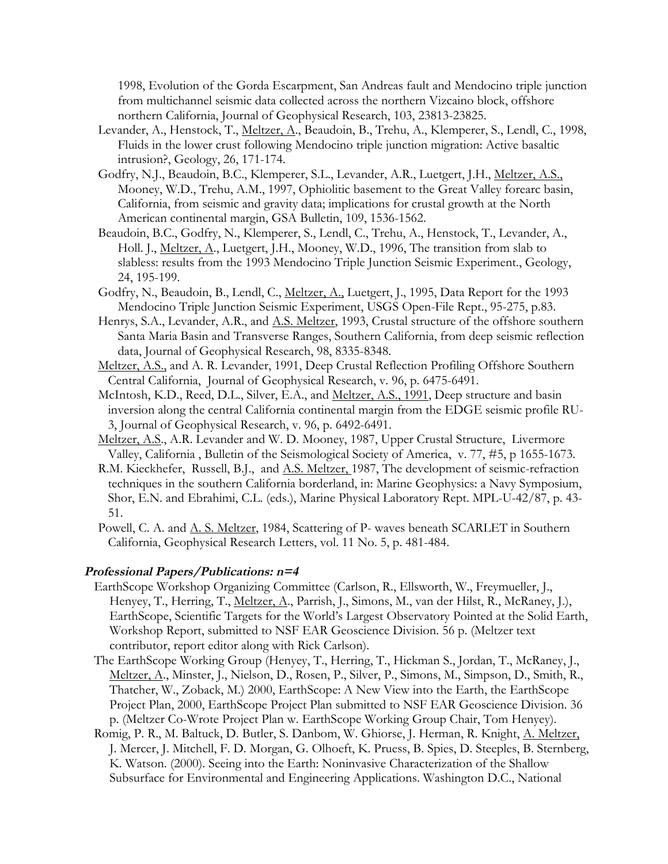1998, Evolution of the Gorda Escarpment, San Andreas fault and Mendocino triple junction from multichannel seismic data collected across the northern Vizcaino block, offshore northern California, Journal of Geophysical Research, 103, 23813-23825.

- Levander, A., Henstock, T., <u>Meltzer, A</u>., Beaudoin, B., Trehu, A., Klemperer, S., Lendl, C., 1998, Fluids in the lower crust following Mendocino triple junction migration: Active basaltic intrusion?, Geology, 26, 171-174.
- Godfry, N.J., Beaudoin, B.C., Klemperer, S.L., Levander, A.R., Luetgert, J.H., Meltzer, A.S., Mooney, W.D., Trehu, A.M., 1997, Ophiolitic basement to the Great Valley forearc basin, California, from seismic and gravity data; implications for crustal growth at the North American continental margin, GSA Bulletin, 109, 1536-1562.
- Beaudoin, B.C., Godfry, N., Klemperer, S., Lendl, C., Trehu, A., Henstock, T., Levander, A., Holl. J., Meltzer, A., Luetgert, J.H., Mooney, W.D., 1996, The transition from slab to slabless: results from the 1993 Mendocino Triple Junction Seismic Experiment., Geology, 24, 195-199.
- Godfry, N., Beaudoin, B., Lendl, C., Meltzer, A., Luetgert, J., 1995, Data Report for the 1993 Mendocino Triple Junction Seismic Experiment, USGS Open-File Rept., 95-275, p.83.
- Henrys, S.A., Levander, A.R., and  $\underline{\Lambda}$ .S. Meltzer, 1993, Crustal structure of the offshore southern Santa Maria Basin and Transverse Ranges, Southern California, from deep seismic reflection data, Journal of Geophysical Research, 98, 8335-8348.
- Meltzer, A.S., and A. R. Levander, 1991, Deep Crustal Reflection Profiling Offshore Southern Central California, Journal of Geophysical Research, v. 96, p. 6475-6491.
- McIntosh, K.D., Reed, D.L., Silver, E.A., and Meltzer, A.S., 1991, Deep structure and basin inversion along the central California continental margin from the EDGE seismic profile RU-3, Journal of Geophysical Research, v. 96, p. 6492-6491.
- Meltzer, A.S., A.R. Levander and W. D. Mooney, 1987, Upper Crustal Structure, Livermore Valley, California , Bulletin of the Seismological Society of America, v. 77, #5, p 1655-1673.
- R.M. Kieckhefer, Russell, B.J., and A.S. Meltzer, 1987, The development of seismic-refraction techniques in the southern California borderland, in: Marine Geophysics: a Navy Symposium, Shor, E.N. and Ebrahimi, C.L. (eds.), Marine Physical Laboratory Rept. MPL-U-42/87, p. 43- 51.
- Powell, C. A. and <u>A. S. Meltzer</u>, 1984, Scattering of P- waves beneath SCARLET in Southern California, Geophysical Research Letters, vol. 11 No. 5, p. 481-484.

## **Professional Papers/Publications: n=4**

- EarthScope Workshop Organizing Committee (Carlson, R., Ellsworth, W., Freymueller, J., Henyey, T., Herring, T., Meltzer, A., Parrish, J., Simons, M., van der Hilst, R., McRaney, J.), EarthScope, Scientific Targets for the World's Largest Observatory Pointed at the Solid Earth, Workshop Report, submitted to NSF EAR Geoscience Division. 56 p. (Meltzer text contributor, report editor along with Rick Carlson).
- The EarthScope Working Group (Henyey, T., Herring, T., Hickman S., Jordan, T., McRaney, J., Meltzer, A., Minster, J., Nielson, D., Rosen, P., Silver, P., Simons, M., Simpson, D., Smith, R., Thatcher, W., Zoback, M.) 2000, EarthScope: A New View into the Earth, the EarthScope Project Plan, 2000, EarthScope Project Plan submitted to NSF EAR Geoscience Division. 36 p. (Meltzer Co-Wrote Project Plan w. EarthScope Working Group Chair, Tom Henyey).
- Romig, P. R., M. Baltuck, D. Butler, S. Danbom, W. Ghiorse, J. Herman, R. Knight, A. Meltzer, J. Mercer, J. Mitchell, F. D. Morgan, G. Olhoeft, K. Pruess, B. Spies, D. Steeples, B. Sternberg, K. Watson. (2000). Seeing into the Earth: Noninvasive Characterization of the Shallow Subsurface for Environmental and Engineering Applications. Washington D.C., National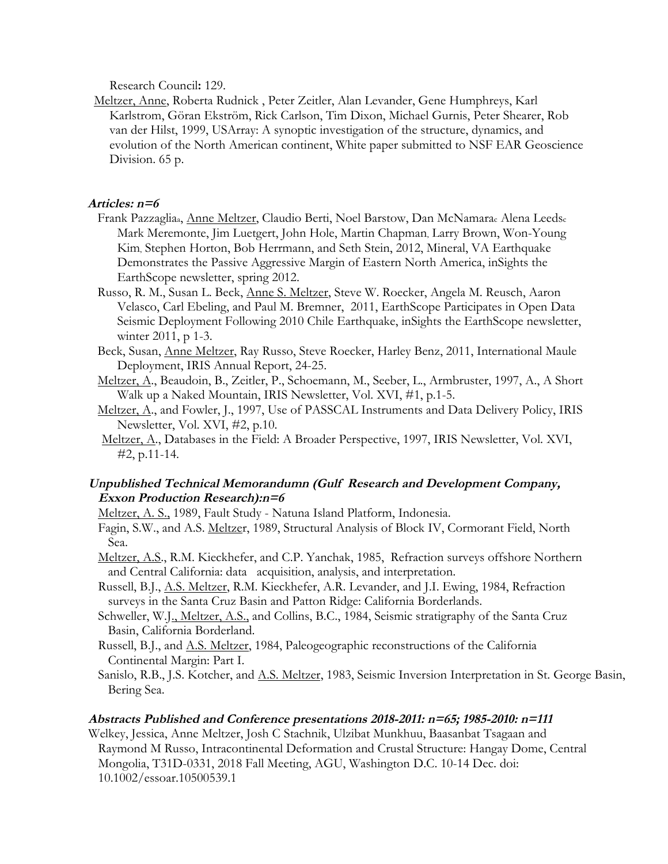Research Council**:** 129.

Meltzer, Anne, Roberta Rudnick , Peter Zeitler, Alan Levander, Gene Humphreys, Karl Karlstrom, Göran Ekström, Rick Carlson, Tim Dixon, Michael Gurnis, Peter Shearer, Rob van der Hilst, 1999, USArray: A synoptic investigation of the structure, dynamics, and evolution of the North American continent, White paper submitted to NSF EAR Geoscience Division. 65 p.

## **Articles: n=6**

- Frank Pazzagliaa, Anne Meltzer, Claudio Berti, Noel Barstow, Dan McNamarac Alena Leedsc Mark Meremonte, Jim Luetgert, John Hole, Martin Chapman, Larry Brown, Won-Young Kim, Stephen Horton, Bob Herrmann, and Seth Stein, 2012, Mineral, VA Earthquake Demonstrates the Passive Aggressive Margin of Eastern North America, inSights the EarthScope newsletter, spring 2012.
- Russo, R. M., Susan L. Beck, Anne S. Meltzer, Steve W. Roecker, Angela M. Reusch, Aaron Velasco, Carl Ebeling, and Paul M. Bremner, 2011, EarthScope Participates in Open Data Seismic Deployment Following 2010 Chile Earthquake, inSights the EarthScope newsletter, winter 2011, p 1-3.
- Beck, Susan, Anne Meltzer, Ray Russo, Steve Roecker, Harley Benz, 2011, International Maule Deployment, IRIS Annual Report, 24-25.
- Meltzer, A., Beaudoin, B., Zeitler, P., Schoemann, M., Seeber, L., Armbruster, 1997, A., A Short Walk up a Naked Mountain, IRIS Newsletter, Vol. XVI, #1, p.1-5.
- Meltzer, A., and Fowler, J., 1997, Use of PASSCAL Instruments and Data Delivery Policy, IRIS Newsletter, Vol. XVI, #2, p.10.
- Meltzer, A., Databases in the Field: A Broader Perspective, 1997, IRIS Newsletter, Vol. XVI, #2, p.11-14.

# **Unpublished Technical Memorandumn (Gulf Research and Development Company, Exxon Production Research):n=6**

- Meltzer, A. S., 1989, Fault Study Natuna Island Platform, Indonesia.
- Fagin, S.W., and A.S. Meltzer, 1989, Structural Analysis of Block IV, Cormorant Field, North Sea.
- Meltzer, A.S., R.M. Kieckhefer, and C.P. Yanchak, 1985, Refraction surveys offshore Northern and Central California: data acquisition, analysis, and interpretation.
- Russell, B.J., A.S. Meltzer, R.M. Kieckhefer, A.R. Levander, and J.I. Ewing, 1984, Refraction surveys in the Santa Cruz Basin and Patton Ridge: California Borderlands.
- Schweller, W.J., Meltzer, A.S., and Collins, B.C., 1984, Seismic stratigraphy of the Santa Cruz Basin, California Borderland.
- Russell, B.J., and A.S. Meltzer, 1984, Paleogeographic reconstructions of the California Continental Margin: Part I.
- Sanislo, R.B., J.S. Kotcher, and <u>A.S. Meltzer</u>, 1983, Seismic Inversion Interpretation in St. George Basin, Bering Sea.

## **Abstracts Published and Conference presentations 2018-2011: n=65; 1985-2010: n=111**

Welkey, Jessica, Anne Meltzer, Josh C Stachnik, Ulzibat Munkhuu, Baasanbat Tsagaan and Raymond M Russo, Intracontinental Deformation and Crustal Structure: Hangay Dome, Central Mongolia, T31D-0331, 2018 Fall Meeting, AGU, Washington D.C. 10-14 Dec. doi: 10.1002/essoar.10500539.1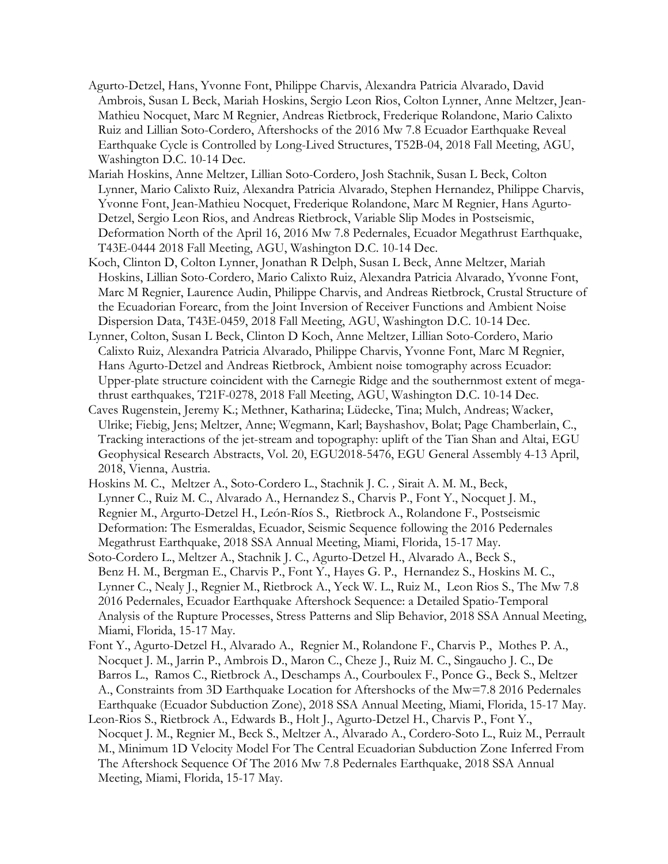- Agurto-Detzel, Hans, Yvonne Font, Philippe Charvis, Alexandra Patricia Alvarado, David Ambrois, Susan L Beck, Mariah Hoskins, Sergio Leon Rios, Colton Lynner, Anne Meltzer, Jean-Mathieu Nocquet, Marc M Regnier, Andreas Rietbrock, Frederique Rolandone, Mario Calixto Ruiz and Lillian Soto-Cordero, Aftershocks of the 2016 Mw 7.8 Ecuador Earthquake Reveal Earthquake Cycle is Controlled by Long-Lived Structures, T52B-04, 2018 Fall Meeting, AGU, Washington D.C. 10-14 Dec.
- Mariah Hoskins, Anne Meltzer, Lillian Soto-Cordero, Josh Stachnik, Susan L Beck, Colton Lynner, Mario Calixto Ruiz, Alexandra Patricia Alvarado, Stephen Hernandez, Philippe Charvis, Yvonne Font, Jean-Mathieu Nocquet, Frederique Rolandone, Marc M Regnier, Hans Agurto-Detzel, Sergio Leon Rios, and Andreas Rietbrock, Variable Slip Modes in Postseismic, Deformation North of the April 16, 2016 Mw 7.8 Pedernales, Ecuador Megathrust Earthquake, T43E-0444 2018 Fall Meeting, AGU, Washington D.C. 10-14 Dec.
- Koch, Clinton D, Colton Lynner, Jonathan R Delph, Susan L Beck, Anne Meltzer, Mariah Hoskins, Lillian Soto-Cordero, Mario Calixto Ruiz, Alexandra Patricia Alvarado, Yvonne Font, Marc M Regnier, Laurence Audin, Philippe Charvis, and Andreas Rietbrock, Crustal Structure of the Ecuadorian Forearc, from the Joint Inversion of Receiver Functions and Ambient Noise Dispersion Data, T43E-0459, 2018 Fall Meeting, AGU, Washington D.C. 10-14 Dec.
- Lynner, Colton, Susan L Beck, Clinton D Koch, Anne Meltzer, Lillian Soto-Cordero, Mario Calixto Ruiz, Alexandra Patricia Alvarado, Philippe Charvis, Yvonne Font, Marc M Regnier, Hans Agurto-Detzel and Andreas Rietbrock, Ambient noise tomography across Ecuador: Upper-plate structure coincident with the Carnegie Ridge and the southernmost extent of megathrust earthquakes, T21F-0278, 2018 Fall Meeting, AGU, Washington D.C. 10-14 Dec.
- Caves Rugenstein, Jeremy K.; Methner, Katharina; Lüdecke, Tina; Mulch, Andreas; Wacker, Ulrike; Fiebig, Jens; Meltzer, Anne; Wegmann, Karl; Bayshashov, Bolat; Page Chamberlain, C., Tracking interactions of the jet-stream and topography: uplift of the Tian Shan and Altai, EGU Geophysical Research Abstracts, Vol. 20, EGU2018-5476, EGU General Assembly 4-13 April, 2018, Vienna, Austria.
- Hoskins M. C., Meltzer A., Soto-Cordero L., Stachnik J. C. *,* Sirait A. M. M., Beck, Lynner C., Ruiz M. C., Alvarado A., Hernandez S., Charvis P., Font Y., Nocquet J. M., Regnier M., Argurto-Detzel H., León-Ríos S., Rietbrock A., Rolandone F., Postseismic Deformation: The Esmeraldas, Ecuador, Seismic Sequence following the 2016 Pedernales Megathrust Earthquake, 2018 SSA Annual Meeting, Miami, Florida, 15-17 May.
- Soto-Cordero L., Meltzer A., Stachnik J. C., Agurto-Detzel H., Alvarado A., Beck S., Benz H. M., Bergman E., Charvis P., Font Y., Hayes G. P., Hernandez S., Hoskins M. C., Lynner C., Nealy J., Regnier M., Rietbrock A., Yeck W. L., Ruiz M., Leon Rios S., The Mw 7.8 2016 Pedernales, Ecuador Earthquake Aftershock Sequence: a Detailed Spatio-Temporal Analysis of the Rupture Processes, Stress Patterns and Slip Behavior, 2018 SSA Annual Meeting, Miami, Florida, 15-17 May.
- Font Y., Agurto-Detzel H., Alvarado A., Regnier M., Rolandone F., Charvis P., Mothes P. A., Nocquet J. M., Jarrin P., Ambrois D., Maron C., Cheze J., Ruiz M. C., Singaucho J. C., De Barros L., Ramos C., Rietbrock A., Deschamps A., Courboulex F., Ponce G., Beck S., Meltzer A., Constraints from 3D Earthquake Location for Aftershocks of the Mw=7.8 2016 Pedernales Earthquake (Ecuador Subduction Zone), 2018 SSA Annual Meeting, Miami, Florida, 15-17 May.
- Leon-Rios S., Rietbrock A., Edwards B., Holt J., Agurto-Detzel H., Charvis P., Font Y., Nocquet J. M., Regnier M., Beck S., Meltzer A., Alvarado A., Cordero-Soto L., Ruiz M., Perrault M., Minimum 1D Velocity Model For The Central Ecuadorian Subduction Zone Inferred From The Aftershock Sequence Of The 2016 Mw 7.8 Pedernales Earthquake, 2018 SSA Annual Meeting, Miami, Florida, 15-17 May.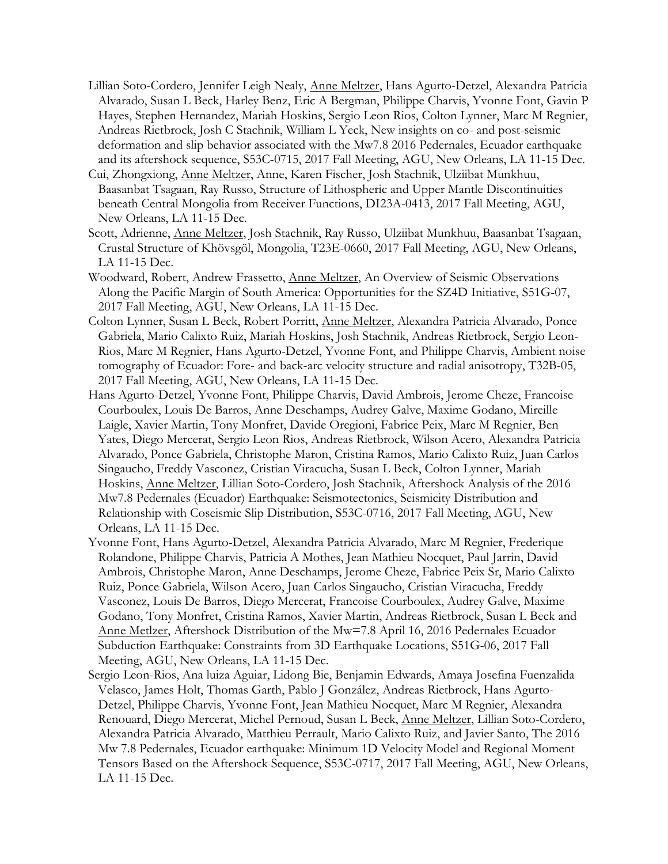- Lillian Soto-Cordero, Jennifer Leigh Nealy, Anne Meltzer, Hans Agurto-Detzel, Alexandra Patricia Alvarado, Susan L Beck, Harley Benz, Eric A Bergman, Philippe Charvis, Yvonne Font, Gavin P Hayes, Stephen Hernandez, Mariah Hoskins, Sergio Leon Rios, Colton Lynner, Marc M Regnier, Andreas Rietbrock, Josh C Stachnik, William L Yeck, New insights on co- and post-seismic deformation and slip behavior associated with the Mw7.8 2016 Pedernales, Ecuador earthquake and its aftershock sequence, S53C-0715, 2017 Fall Meeting, AGU, New Orleans, LA 11-15 Dec.
- Cui, Zhongxiong, Anne Meltzer, Anne, Karen Fischer, Josh Stachnik, Ulziibat Munkhuu, Baasanbat Tsagaan, Ray Russo, Structure of Lithospheric and Upper Mantle Discontinuities beneath Central Mongolia from Receiver Functions, DI23A-0413, 2017 Fall Meeting, AGU, New Orleans, LA 11-15 Dec.
- Scott, Adrienne, Anne Meltzer, Josh Stachnik, Ray Russo, Ulziibat Munkhuu, Baasanbat Tsagaan, Crustal Structure of Khövsgöl, Mongolia, T23E-0660, 2017 Fall Meeting, AGU, New Orleans, LA 11-15 Dec.
- Woodward, Robert, Andrew Frassetto, Anne Meltzer, An Overview of Seismic Observations Along the Pacific Margin of South America: Opportunities for the SZ4D Initiative, S51G-07, 2017 Fall Meeting, AGU, New Orleans, LA 11-15 Dec.
- Colton Lynner, Susan L Beck, Robert Porritt, Anne Meltzer, Alexandra Patricia Alvarado, Ponce Gabriela, Mario Calixto Ruiz, Mariah Hoskins, Josh Stachnik, Andreas Rietbrock, Sergio Leon-Rios, Marc M Regnier, Hans Agurto-Detzel, Yvonne Font, and Philippe Charvis, Ambient noise tomography of Ecuador: Fore- and back-arc velocity structure and radial anisotropy, T32B-05, 2017 Fall Meeting, AGU, New Orleans, LA 11-15 Dec.
- Hans Agurto-Detzel, Yvonne Font, Philippe Charvis, David Ambrois, Jerome Cheze, Francoise Courboulex, Louis De Barros, Anne Deschamps, Audrey Galve, Maxime Godano, Mireille Laigle, Xavier Martin, Tony Monfret, Davide Oregioni, Fabrice Peix, Marc M Regnier, Ben Yates, Diego Mercerat, Sergio Leon Rios, Andreas Rietbrock, Wilson Acero, Alexandra Patricia Alvarado, Ponce Gabriela, Christophe Maron, Cristina Ramos, Mario Calixto Ruiz, Juan Carlos Singaucho, Freddy Vasconez, Cristian Viracucha, Susan L Beck, Colton Lynner, Mariah Hoskins, Anne Meltzer, Lillian Soto-Cordero, Josh Stachnik, Aftershock Analysis of the 2016 Mw7.8 Pedernales (Ecuador) Earthquake: Seismotectonics, Seismicity Distribution and Relationship with Coseismic Slip Distribution, S53C-0716, 2017 Fall Meeting, AGU, New Orleans, LA 11-15 Dec.
- Yvonne Font, Hans Agurto-Detzel, Alexandra Patricia Alvarado, Marc M Regnier, Frederique Rolandone, Philippe Charvis, Patricia A Mothes, Jean Mathieu Nocquet, Paul Jarrin, David Ambrois, Christophe Maron, Anne Deschamps, Jerome Cheze, Fabrice Peix Sr, Mario Calixto Ruiz, Ponce Gabriela, Wilson Acero, Juan Carlos Singaucho, Cristian Viracucha, Freddy Vasconez, Louis De Barros, Diego Mercerat, Francoise Courboulex, Audrey Galve, Maxime Godano, Tony Monfret, Cristina Ramos, Xavier Martin, Andreas Rietbrock, Susan L Beck and Anne Metlzer, Aftershock Distribution of the Mw=7.8 April 16, 2016 Pedernales Ecuador Subduction Earthquake: Constraints from 3D Earthquake Locations, S51G-06, 2017 Fall Meeting, AGU, New Orleans, LA 11-15 Dec.
- Sergio Leon-Rios, Ana luiza Aguiar, Lidong Bie, Benjamin Edwards, Amaya Josefina Fuenzalida Velasco, James Holt, Thomas Garth, Pablo J González, Andreas Rietbrock, Hans Agurto-Detzel, Philippe Charvis, Yvonne Font, Jean Mathieu Nocquet, Marc M Regnier, Alexandra Renouard, Diego Mercerat, Michel Pernoud, Susan L Beck, Anne Meltzer, Lillian Soto-Cordero, Alexandra Patricia Alvarado, Matthieu Perrault, Mario Calixto Ruiz, and Javier Santo, The 2016 Mw 7.8 Pedernales, Ecuador earthquake: Minimum 1D Velocity Model and Regional Moment Tensors Based on the Aftershock Sequence, S53C-0717, 2017 Fall Meeting, AGU, New Orleans, LA 11-15 Dec.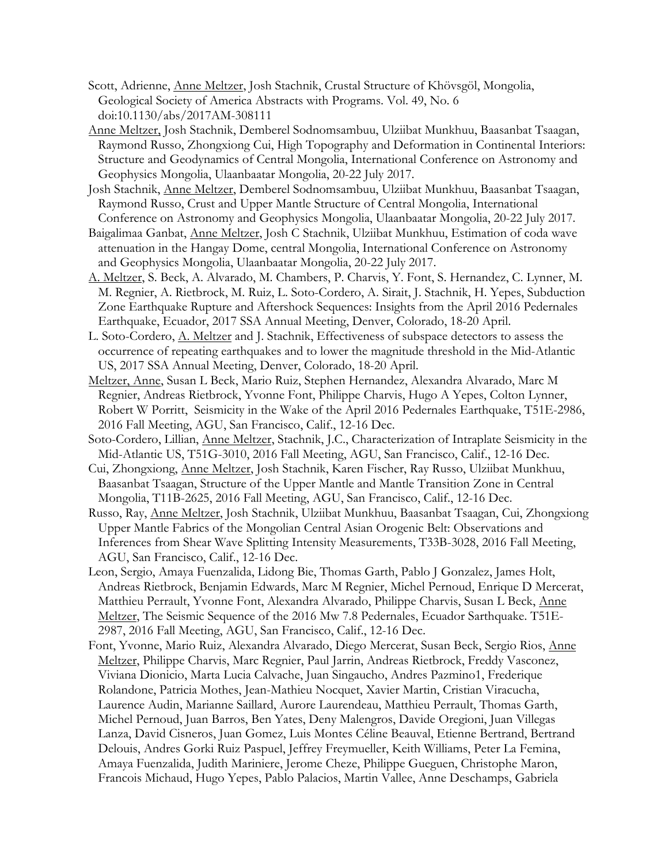- Scott, Adrienne, Anne Meltzer, Josh Stachnik, Crustal Structure of Khövsgöl, Mongolia, Geological Society of America Abstracts with Programs. Vol. 49, No. 6 doi:10.1130/abs/2017AM-308111
- Anne Meltzer, Josh Stachnik, Demberel Sodnomsambuu, Ulziibat Munkhuu, Baasanbat Tsaagan, Raymond Russo, Zhongxiong Cui, High Topography and Deformation in Continental Interiors: Structure and Geodynamics of Central Mongolia, International Conference on Astronomy and Geophysics Mongolia, Ulaanbaatar Mongolia, 20-22 July 2017.
- Josh Stachnik, Anne Meltzer, Demberel Sodnomsambuu, Ulziibat Munkhuu, Baasanbat Tsaagan, Raymond Russo, Crust and Upper Mantle Structure of Central Mongolia, International Conference on Astronomy and Geophysics Mongolia, Ulaanbaatar Mongolia, 20-22 July 2017.
- Baigalimaa Ganbat, Anne Meltzer, Josh C Stachnik, Ulziibat Munkhuu, Estimation of coda wave attenuation in the Hangay Dome, central Mongolia, International Conference on Astronomy and Geophysics Mongolia, Ulaanbaatar Mongolia, 20-22 July 2017.
- A. Meltzer, S. Beck, A. Alvarado, M. Chambers, P. Charvis, Y. Font, S. Hernandez, C. Lynner, M. M. Regnier, A. Rietbrock, M. Ruiz, L. Soto-Cordero, A. Sirait, J. Stachnik, H. Yepes, Subduction Zone Earthquake Rupture and Aftershock Sequences: Insights from the April 2016 Pedernales Earthquake, Ecuador, 2017 SSA Annual Meeting, Denver, Colorado, 18-20 April.
- L. Soto-Cordero, A. Meltzer and J. Stachnik, Effectiveness of subspace detectors to assess the occurrence of repeating earthquakes and to lower the magnitude threshold in the Mid-Atlantic US, 2017 SSA Annual Meeting, Denver, Colorado, 18-20 April.
- Meltzer, Anne, Susan L Beck, Mario Ruiz, Stephen Hernandez, Alexandra Alvarado, Marc M Regnier, Andreas Rietbrock, Yvonne Font, Philippe Charvis, Hugo A Yepes, Colton Lynner, Robert W Porritt, Seismicity in the Wake of the April 2016 Pedernales Earthquake, T51E-2986, 2016 Fall Meeting, AGU, San Francisco, Calif., 12-16 Dec.
- Soto-Cordero, Lillian, Anne Meltzer, Stachnik, J.C., Characterization of Intraplate Seismicity in the Mid-Atlantic US, T51G-3010, 2016 Fall Meeting, AGU, San Francisco, Calif., 12-16 Dec.
- Cui, Zhongxiong, Anne Meltzer, Josh Stachnik, Karen Fischer, Ray Russo, Ulziibat Munkhuu, Baasanbat Tsaagan, Structure of the Upper Mantle and Mantle Transition Zone in Central Mongolia, T11B-2625, 2016 Fall Meeting, AGU, San Francisco, Calif., 12-16 Dec.
- Russo, Ray, Anne Meltzer, Josh Stachnik, Ulziibat Munkhuu, Baasanbat Tsaagan, Cui, Zhongxiong Upper Mantle Fabrics of the Mongolian Central Asian Orogenic Belt: Observations and Inferences from Shear Wave Splitting Intensity Measurements, T33B-3028, 2016 Fall Meeting, AGU, San Francisco, Calif., 12-16 Dec.
- Leon, Sergio, Amaya Fuenzalida, Lidong Bie, Thomas Garth, Pablo J Gonzalez, James Holt, Andreas Rietbrock, Benjamin Edwards, Marc M Regnier, Michel Pernoud, Enrique D Mercerat, Matthieu Perrault, Yvonne Font, Alexandra Alvarado, Philippe Charvis, Susan L Beck, Anne Meltzer, The Seismic Sequence of the 2016 Mw 7.8 Pedernales, Ecuador Sarthquake. T51E-2987, 2016 Fall Meeting, AGU, San Francisco, Calif., 12-16 Dec.
- Font, Yvonne, Mario Ruiz, Alexandra Alvarado, Diego Mercerat, Susan Beck, Sergio Rios, Anne Meltzer, Philippe Charvis, Marc Regnier, Paul Jarrin, Andreas Rietbrock, Freddy Vasconez, Viviana Dionicio, Marta Lucia Calvache, Juan Singaucho, Andres Pazmino1, Frederique Rolandone, Patricia Mothes, Jean-Mathieu Nocquet, Xavier Martin, Cristian Viracucha, Laurence Audin, Marianne Saillard, Aurore Laurendeau, Matthieu Perrault, Thomas Garth, Michel Pernoud, Juan Barros, Ben Yates, Deny Malengros, Davide Oregioni, Juan Villegas Lanza, David Cisneros, Juan Gomez, Luis Montes Céline Beauval, Etienne Bertrand, Bertrand Delouis, Andres Gorki Ruiz Paspuel, Jeffrey Freymueller, Keith Williams, Peter La Femina, Amaya Fuenzalida, Judith Mariniere, Jerome Cheze, Philippe Gueguen, Christophe Maron, Francois Michaud, Hugo Yepes, Pablo Palacios, Martin Vallee, Anne Deschamps, Gabriela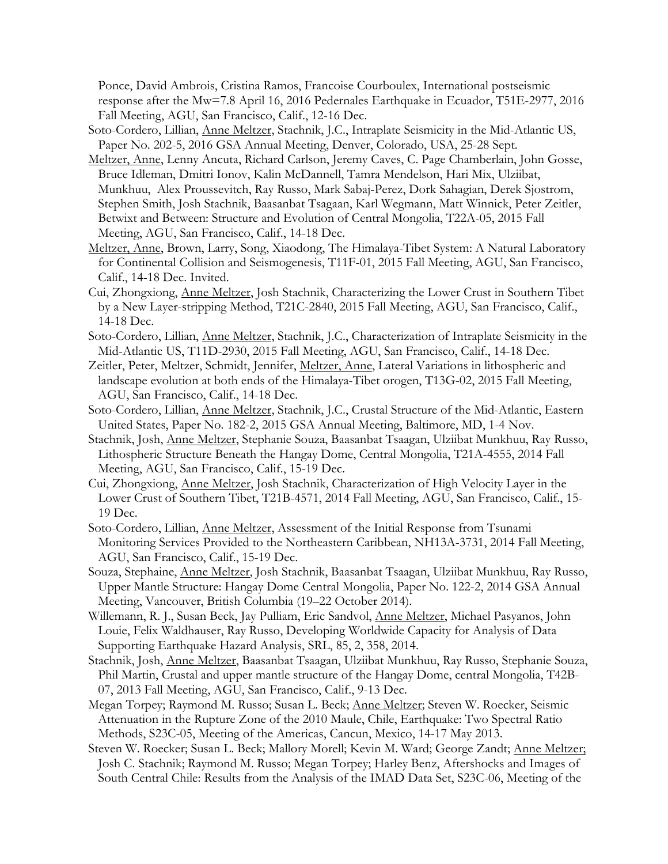Ponce, David Ambrois, Cristina Ramos, Francoise Courboulex, International postseismic response after the Mw=7.8 April 16, 2016 Pedernales Earthquake in Ecuador, T51E-2977, 2016 Fall Meeting, AGU, San Francisco, Calif., 12-16 Dec.

- Soto-Cordero, Lillian, Anne Meltzer, Stachnik, J.C., Intraplate Seismicity in the Mid-Atlantic US, Paper No. 202-5, 2016 GSA Annual Meeting, Denver, Colorado, USA, 25-28 Sept.
- Meltzer, Anne, Lenny Ancuta, Richard Carlson, Jeremy Caves, C. Page Chamberlain, John Gosse, Bruce Idleman, Dmitri Ionov, Kalin McDannell, Tamra Mendelson, Hari Mix, Ulziibat, Munkhuu, Alex Proussevitch, Ray Russo, Mark Sabaj-Perez, Dork Sahagian, Derek Sjostrom, Stephen Smith, Josh Stachnik, Baasanbat Tsagaan, Karl Wegmann, Matt Winnick, Peter Zeitler, Betwixt and Between: Structure and Evolution of Central Mongolia, T22A-05, 2015 Fall Meeting, AGU, San Francisco, Calif., 14-18 Dec.
- Meltzer, Anne, Brown, Larry, Song, Xiaodong, The Himalaya-Tibet System: A Natural Laboratory for Continental Collision and Seismogenesis, T11F-01, 2015 Fall Meeting, AGU, San Francisco, Calif., 14-18 Dec. Invited.
- Cui, Zhongxiong, Anne Meltzer, Josh Stachnik, Characterizing the Lower Crust in Southern Tibet by a New Layer-stripping Method, T21C-2840, 2015 Fall Meeting, AGU, San Francisco, Calif., 14-18 Dec.
- Soto-Cordero, Lillian, Anne Meltzer, Stachnik, J.C., Characterization of Intraplate Seismicity in the Mid-Atlantic US, T11D-2930, 2015 Fall Meeting, AGU, San Francisco, Calif., 14-18 Dec.
- Zeitler, Peter, Meltzer, Schmidt, Jennifer, Meltzer, Anne, Lateral Variations in lithospheric and landscape evolution at both ends of the Himalaya-Tibet orogen, T13G-02, 2015 Fall Meeting, AGU, San Francisco, Calif., 14-18 Dec.
- Soto-Cordero, Lillian, Anne Meltzer, Stachnik, J.C., Crustal Structure of the Mid-Atlantic, Eastern United States, Paper No. 182-2, 2015 GSA Annual Meeting, Baltimore, MD, 1-4 Nov.
- Stachnik, Josh, Anne Meltzer, Stephanie Souza, Baasanbat Tsaagan, Ulziibat Munkhuu, Ray Russo, Lithospheric Structure Beneath the Hangay Dome, Central Mongolia, T21A-4555, 2014 Fall Meeting, AGU, San Francisco, Calif., 15-19 Dec.
- Cui, Zhongxiong, Anne Meltzer, Josh Stachnik, Characterization of High Velocity Layer in the Lower Crust of Southern Tibet, T21B-4571, 2014 Fall Meeting, AGU, San Francisco, Calif., 15- 19 Dec.
- Soto-Cordero, Lillian, Anne Meltzer, Assessment of the Initial Response from Tsunami Monitoring Services Provided to the Northeastern Caribbean, NH13A-3731, 2014 Fall Meeting, AGU, San Francisco, Calif., 15-19 Dec.
- Souza, Stephaine, Anne Meltzer, Josh Stachnik, Baasanbat Tsaagan, Ulziibat Munkhuu, Ray Russo, Upper Mantle Structure: Hangay Dome Central Mongolia, Paper No. 122-2, 2014 GSA Annual Meeting, Vancouver, British Columbia (19–22 October 2014).
- Willemann, R. J., Susan Beck, Jay Pulliam, Eric Sandvol, Anne Meltzer, Michael Pasyanos, John Louie, Felix Waldhauser, Ray Russo, Developing Worldwide Capacity for Analysis of Data Supporting Earthquake Hazard Analysis, SRL, 85, 2, 358, 2014.
- Stachnik, Josh, Anne Meltzer, Baasanbat Tsaagan, Ulziibat Munkhuu, Ray Russo, Stephanie Souza, Phil Martin, Crustal and upper mantle structure of the Hangay Dome, central Mongolia, T42B-07, 2013 Fall Meeting, AGU, San Francisco, Calif., 9-13 Dec.
- Megan Torpey; Raymond M. Russo; Susan L. Beck; Anne Meltzer; Steven W. Roecker, Seismic Attenuation in the Rupture Zone of the 2010 Maule, Chile, Earthquake: Two Spectral Ratio Methods, S23C-05, Meeting of the Americas, Cancun, Mexico, 14-17 May 2013.
- Steven W. Roecker; Susan L. Beck; Mallory Morell; Kevin M. Ward; George Zandt; Anne Meltzer; Josh C. Stachnik; Raymond M. Russo; Megan Torpey; Harley Benz, Aftershocks and Images of South Central Chile: Results from the Analysis of the IMAD Data Set, S23C-06, Meeting of the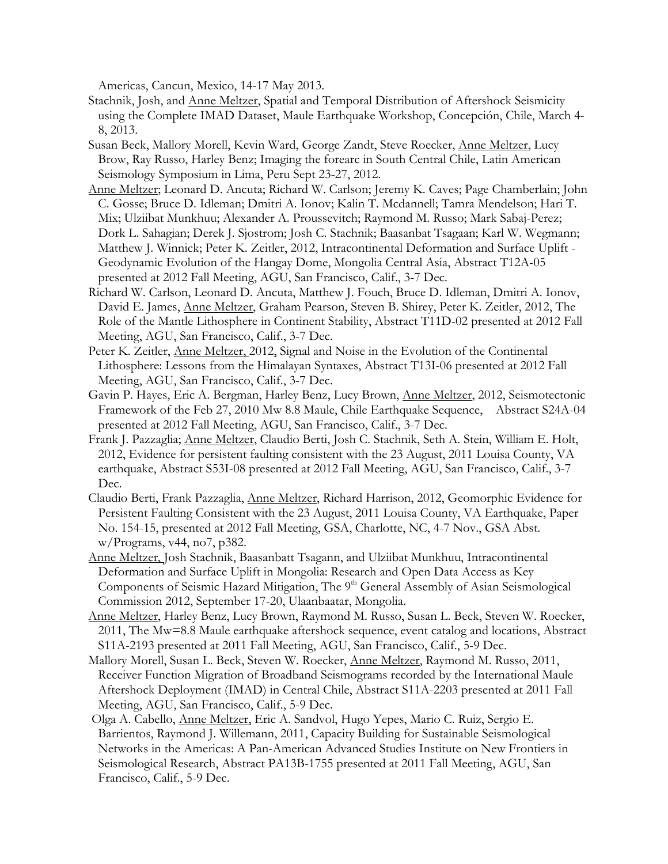Americas, Cancun, Mexico, 14-17 May 2013.

- Stachnik, Josh, and Anne Meltzer, Spatial and Temporal Distribution of Aftershock Seismicity using the Complete IMAD Dataset, Maule Earthquake Workshop, Concepción, Chile, March 4- 8, 2013.
- Susan Beck, Mallory Morell, Kevin Ward, George Zandt, Steve Roecker, Anne Meltzer, Lucy Brow, Ray Russo, Harley Benz; Imaging the forearc in South Central Chile, Latin American Seismology Symposium in Lima, Peru Sept 23-27, 2012.
- Anne Meltzer; Leonard D. Ancuta; Richard W. Carlson; Jeremy K. Caves; Page Chamberlain; John C. Gosse; Bruce D. Idleman; Dmitri A. Ionov; Kalin T. Mcdannell; Tamra Mendelson; Hari T. Mix; Ulziibat Munkhuu; Alexander A. Proussevitch; Raymond M. Russo; Mark Sabaj-Perez; Dork L. Sahagian; Derek J. Sjostrom; Josh C. Stachnik; Baasanbat Tsagaan; Karl W. Wegmann; Matthew J. Winnick; Peter K. Zeitler, 2012, Intracontinental Deformation and Surface Uplift - Geodynamic Evolution of the Hangay Dome, Mongolia Central Asia, Abstract T12A-05 presented at 2012 Fall Meeting, AGU, San Francisco, Calif., 3-7 Dec.
- Richard W. Carlson, Leonard D. Ancuta, Matthew J. Fouch, Bruce D. Idleman, Dmitri A. Ionov, David E. James, Anne Meltzer, Graham Pearson, Steven B. Shirey, Peter K. Zeitler, 2012, The Role of the Mantle Lithosphere in Continent Stability, Abstract T11D-02 presented at 2012 Fall Meeting, AGU, San Francisco, Calif., 3-7 Dec.
- Peter K. Zeitler, Anne Meltzer, 2012, Signal and Noise in the Evolution of the Continental Lithosphere: Lessons from the Himalayan Syntaxes, Abstract T13I-06 presented at 2012 Fall Meeting, AGU, San Francisco, Calif., 3-7 Dec.
- Gavin P. Hayes, Eric A. Bergman, Harley Benz, Lucy Brown, Anne Meltzer, 2012, Seismotectonic Framework of the Feb 27, 2010 Mw 8.8 Maule, Chile Earthquake Sequence, Abstract S24A-04 presented at 2012 Fall Meeting, AGU, San Francisco, Calif., 3-7 Dec.
- Frank J. Pazzaglia; Anne Meltzer, Claudio Berti, Josh C. Stachnik, Seth A. Stein, William E. Holt, 2012, Evidence for persistent faulting consistent with the 23 August, 2011 Louisa County, VA earthquake, Abstract S53I-08 presented at 2012 Fall Meeting, AGU, San Francisco, Calif., 3-7 Dec.
- Claudio Berti, Frank Pazzaglia, Anne Meltzer, Richard Harrison, 2012, Geomorphic Evidence for Persistent Faulting Consistent with the 23 August, 2011 Louisa County, VA Earthquake, Paper No. 154-15, presented at 2012 Fall Meeting, GSA, Charlotte, NC, 4-7 Nov., GSA Abst. w/Programs, v44, no7, p382.
- Anne Meltzer, Josh Stachnik, Baasanbatt Tsagann, and Ulziibat Munkhuu, Intracontinental Deformation and Surface Uplift in Mongolia: Research and Open Data Access as Key Components of Seismic Hazard Mitigation, The 9<sup>th</sup> General Assembly of Asian Seismological Commission 2012, September 17-20, Ulaanbaatar, Mongolia.
- Anne Meltzer, Harley Benz, Lucy Brown, Raymond M. Russo, Susan L. Beck, Steven W. Roecker, 2011, The Mw=8.8 Maule earthquake aftershock sequence, event catalog and locations, Abstract S11A-2193 presented at 2011 Fall Meeting, AGU, San Francisco, Calif., 5-9 Dec.
- Mallory Morell, Susan L. Beck, Steven W. Roecker, Anne Meltzer, Raymond M. Russo, 2011, Receiver Function Migration of Broadband Seismograms recorded by the International Maule Aftershock Deployment (IMAD) in Central Chile, Abstract S11A-2203 presented at 2011 Fall Meeting, AGU, San Francisco, Calif., 5-9 Dec.
- Olga A. Cabello, Anne Meltzer, Eric A. Sandvol, Hugo Yepes, Mario C. Ruiz, Sergio E. Barrientos, Raymond J. Willemann, 2011, Capacity Building for Sustainable Seismological Networks in the Americas: A Pan-American Advanced Studies Institute on New Frontiers in Seismological Research, Abstract PA13B-1755 presented at 2011 Fall Meeting, AGU, San Francisco, Calif., 5-9 Dec.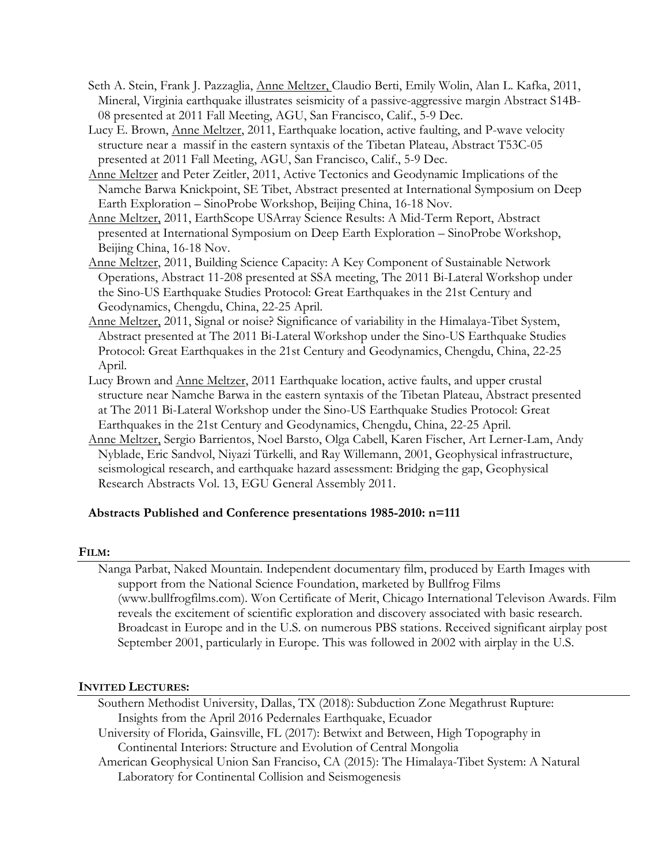- Seth A. Stein, Frank J. Pazzaglia, Anne Meltzer, Claudio Berti, Emily Wolin, Alan L. Kafka, 2011, Mineral, Virginia earthquake illustrates seismicity of a passive-aggressive margin Abstract S14B-08 presented at 2011 Fall Meeting, AGU, San Francisco, Calif., 5-9 Dec.
- Lucy E. Brown, Anne Meltzer, 2011, Earthquake location, active faulting, and P-wave velocity structure near a massif in the eastern syntaxis of the Tibetan Plateau, Abstract T53C-05 presented at 2011 Fall Meeting, AGU, San Francisco, Calif., 5-9 Dec.
- Anne Meltzer and Peter Zeitler, 2011, Active Tectonics and Geodynamic Implications of the Namche Barwa Knickpoint, SE Tibet, Abstract presented at International Symposium on Deep Earth Exploration – SinoProbe Workshop, Beijing China, 16-18 Nov.
- Anne Meltzer, 2011, EarthScope USArray Science Results: A Mid-Term Report, Abstract presented at International Symposium on Deep Earth Exploration – SinoProbe Workshop, Beijing China, 16-18 Nov.
- Anne Meltzer, 2011, Building Science Capacity: A Key Component of Sustainable Network Operations, Abstract 11-208 presented at SSA meeting, The 2011 Bi-Lateral Workshop under the Sino-US Earthquake Studies Protocol: Great Earthquakes in the 21st Century and Geodynamics, Chengdu, China, 22-25 April.
- Anne Meltzer, 2011, Signal or noise? Significance of variability in the Himalaya-Tibet System, Abstract presented at The 2011 Bi-Lateral Workshop under the Sino-US Earthquake Studies Protocol: Great Earthquakes in the 21st Century and Geodynamics, Chengdu, China, 22-25 April.
- Lucy Brown and Anne Meltzer, 2011 Earthquake location, active faults, and upper crustal structure near Namche Barwa in the eastern syntaxis of the Tibetan Plateau, Abstract presented at The 2011 Bi-Lateral Workshop under the Sino-US Earthquake Studies Protocol: Great Earthquakes in the 21st Century and Geodynamics, Chengdu, China, 22-25 April.
- Anne Meltzer, Sergio Barrientos, Noel Barsto, Olga Cabell, Karen Fischer, Art Lerner-Lam, Andy Nyblade, Eric Sandvol, Niyazi Türkelli, and Ray Willemann, 2001, Geophysical infrastructure, seismological research, and earthquake hazard assessment: Bridging the gap, Geophysical Research Abstracts Vol. 13, EGU General Assembly 2011.

# **Abstracts Published and Conference presentations 1985-2010: n=111**

# **FILM:**

Nanga Parbat, Naked Mountain. Independent documentary film, produced by Earth Images with support from the National Science Foundation, marketed by Bullfrog Films (www.bullfrogfilms.com). Won Certificate of Merit, Chicago International Televison Awards. Film reveals the excitement of scientific exploration and discovery associated with basic research. Broadcast in Europe and in the U.S. on numerous PBS stations. Received significant airplay post September 2001, particularly in Europe. This was followed in 2002 with airplay in the U.S.

# **INVITED LECTURES:**

Southern Methodist University, Dallas, TX (2018): Subduction Zone Megathrust Rupture: Insights from the April 2016 Pedernales Earthquake, Ecuador

University of Florida, Gainsville, FL (2017): Betwixt and Between, High Topography in Continental Interiors: Structure and Evolution of Central Mongolia

American Geophysical Union San Franciso, CA (2015): The Himalaya-Tibet System: A Natural Laboratory for Continental Collision and Seismogenesis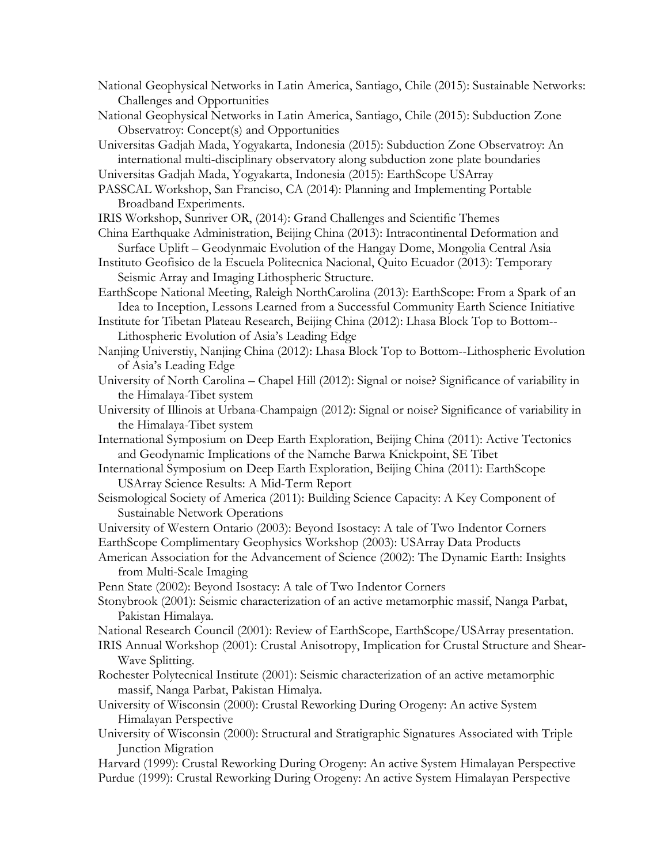- National Geophysical Networks in Latin America, Santiago, Chile (2015): Sustainable Networks: Challenges and Opportunities
- National Geophysical Networks in Latin America, Santiago, Chile (2015): Subduction Zone Observatroy: Concept(s) and Opportunities
- Universitas Gadjah Mada, Yogyakarta, Indonesia (2015): Subduction Zone Observatroy: An international multi-disciplinary observatory along subduction zone plate boundaries

Universitas Gadjah Mada, Yogyakarta, Indonesia (2015): EarthScope USArray

PASSCAL Workshop, San Franciso, CA (2014): Planning and Implementing Portable Broadband Experiments.

IRIS Workshop, Sunriver OR, (2014): Grand Challenges and Scientific Themes

- China Earthquake Administration, Beijing China (2013): Intracontinental Deformation and Surface Uplift – Geodynmaic Evolution of the Hangay Dome, Mongolia Central Asia
- Instituto Geofisico de la Escuela Politecnica Nacional, Quito Ecuador (2013): Temporary Seismic Array and Imaging Lithospheric Structure.
- EarthScope National Meeting, Raleigh NorthCarolina (2013): EarthScope: From a Spark of an Idea to Inception, Lessons Learned from a Successful Community Earth Science Initiative

Institute for Tibetan Plateau Research, Beijing China (2012): Lhasa Block Top to Bottom-- Lithospheric Evolution of Asia's Leading Edge

- Nanjing Universtiy, Nanjing China (2012): Lhasa Block Top to Bottom--Lithospheric Evolution of Asia's Leading Edge
- University of North Carolina Chapel Hill (2012): Signal or noise? Significance of variability in the Himalaya-Tibet system
- University of Illinois at Urbana-Champaign (2012): Signal or noise? Significance of variability in the Himalaya-Tibet system
- International Symposium on Deep Earth Exploration, Beijing China (2011): Active Tectonics and Geodynamic Implications of the Namche Barwa Knickpoint, SE Tibet
- International Symposium on Deep Earth Exploration, Beijing China (2011): EarthScope USArray Science Results: A Mid-Term Report
- Seismological Society of America (2011): Building Science Capacity: A Key Component of Sustainable Network Operations
- University of Western Ontario (2003): Beyond Isostacy: A tale of Two Indentor Corners EarthScope Complimentary Geophysics Workshop (2003): USArray Data Products
- American Association for the Advancement of Science (2002): The Dynamic Earth: Insights from Multi-Scale Imaging
- Penn State (2002): Beyond Isostacy: A tale of Two Indentor Corners
- Stonybrook (2001): Seismic characterization of an active metamorphic massif, Nanga Parbat, Pakistan Himalaya.
- National Research Council (2001): Review of EarthScope, EarthScope/USArray presentation.
- IRIS Annual Workshop (2001): Crustal Anisotropy, Implication for Crustal Structure and Shear-Wave Splitting.
- Rochester Polytecnical Institute (2001): Seismic characterization of an active metamorphic massif, Nanga Parbat, Pakistan Himalya.
- University of Wisconsin (2000): Crustal Reworking During Orogeny: An active System Himalayan Perspective
- University of Wisconsin (2000): Structural and Stratigraphic Signatures Associated with Triple Junction Migration

Harvard (1999): Crustal Reworking During Orogeny: An active System Himalayan Perspective Purdue (1999): Crustal Reworking During Orogeny: An active System Himalayan Perspective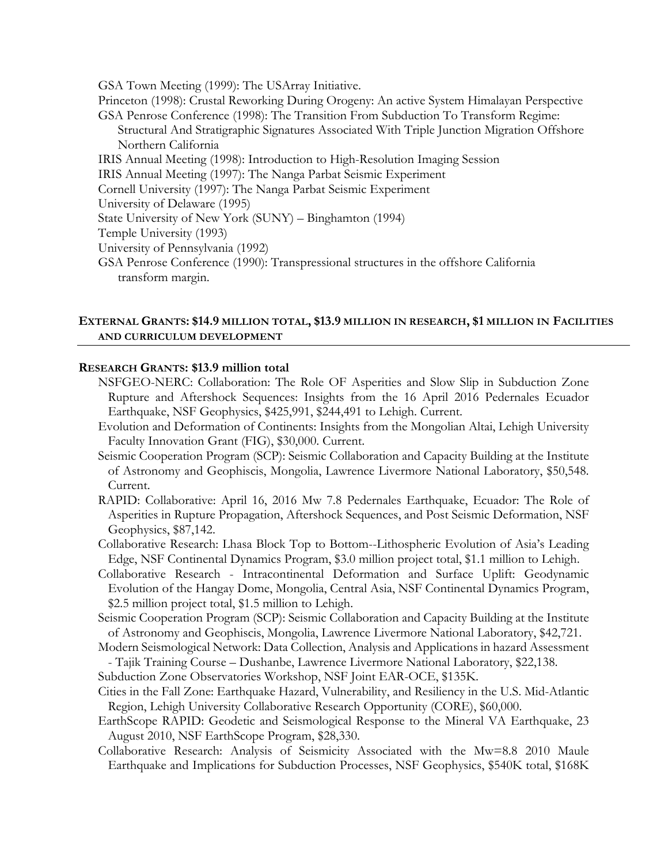GSA Town Meeting (1999): The USArray Initiative.

- Princeton (1998): Crustal Reworking During Orogeny: An active System Himalayan Perspective GSA Penrose Conference (1998): The Transition From Subduction To Transform Regime: Structural And Stratigraphic Signatures Associated With Triple Junction Migration Offshore Northern California
- IRIS Annual Meeting (1998): Introduction to High-Resolution Imaging Session
- IRIS Annual Meeting (1997): The Nanga Parbat Seismic Experiment
- Cornell University (1997): The Nanga Parbat Seismic Experiment
- University of Delaware (1995)
- State University of New York (SUNY) Binghamton (1994)
- Temple University (1993)
- University of Pennsylvania (1992)
- GSA Penrose Conference (1990): Transpressional structures in the offshore California transform margin.

## **EXTERNAL GRANTS: \$14.9 MILLION TOTAL, \$13.9 MILLION IN RESEARCH, \$1 MILLION IN FACILITIES AND CURRICULUM DEVELOPMENT**

#### **RESEARCH GRANTS: \$13.9 million total**

- NSFGEO-NERC: Collaboration: The Role OF Asperities and Slow Slip in Subduction Zone Rupture and Aftershock Sequences: Insights from the 16 April 2016 Pedernales Ecuador Earthquake, NSF Geophysics, \$425,991, \$244,491 to Lehigh. Current.
- Evolution and Deformation of Continents: Insights from the Mongolian Altai, Lehigh University Faculty Innovation Grant (FIG), \$30,000. Current.
- Seismic Cooperation Program (SCP): Seismic Collaboration and Capacity Building at the Institute of Astronomy and Geophiscis, Mongolia, Lawrence Livermore National Laboratory, \$50,548. Current.
- RAPID: Collaborative: April 16, 2016 Mw 7.8 Pedernales Earthquake, Ecuador: The Role of Asperities in Rupture Propagation, Aftershock Sequences, and Post Seismic Deformation, NSF Geophysics, \$87,142.
- Collaborative Research: Lhasa Block Top to Bottom--Lithospheric Evolution of Asia's Leading Edge, NSF Continental Dynamics Program, \$3.0 million project total, \$1.1 million to Lehigh.
- Collaborative Research Intracontinental Deformation and Surface Uplift: Geodynamic Evolution of the Hangay Dome, Mongolia, Central Asia, NSF Continental Dynamics Program, \$2.5 million project total, \$1.5 million to Lehigh.
- Seismic Cooperation Program (SCP): Seismic Collaboration and Capacity Building at the Institute of Astronomy and Geophiscis, Mongolia, Lawrence Livermore National Laboratory, \$42,721.
- Modern Seismological Network: Data Collection, Analysis and Applications in hazard Assessment - Tajik Training Course – Dushanbe, Lawrence Livermore National Laboratory, \$22,138.
- Subduction Zone Observatories Workshop, NSF Joint EAR-OCE, \$135K.
- Cities in the Fall Zone: Earthquake Hazard, Vulnerability, and Resiliency in the U.S. Mid-Atlantic Region, Lehigh University Collaborative Research Opportunity (CORE), \$60,000.
- EarthScope RAPID: Geodetic and Seismological Response to the Mineral VA Earthquake, 23 August 2010, NSF EarthScope Program, \$28,330.
- Collaborative Research: Analysis of Seismicity Associated with the Mw=8.8 2010 Maule Earthquake and Implications for Subduction Processes, NSF Geophysics, \$540K total, \$168K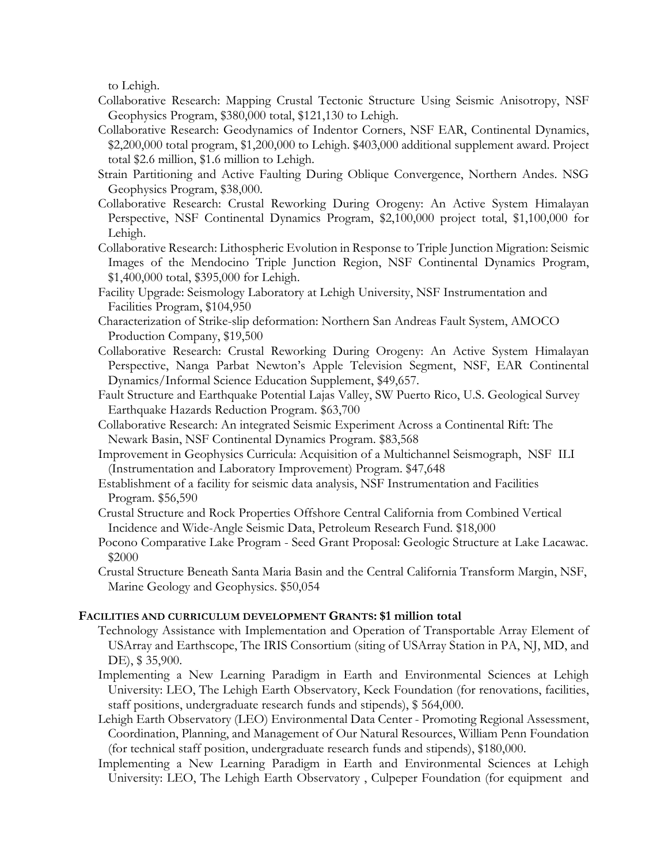to Lehigh.

- Collaborative Research: Mapping Crustal Tectonic Structure Using Seismic Anisotropy, NSF Geophysics Program, \$380,000 total, \$121,130 to Lehigh.
- Collaborative Research: Geodynamics of Indentor Corners, NSF EAR, Continental Dynamics, \$2,200,000 total program, \$1,200,000 to Lehigh. \$403,000 additional supplement award. Project total \$2.6 million, \$1.6 million to Lehigh.
- Strain Partitioning and Active Faulting During Oblique Convergence, Northern Andes. NSG Geophysics Program, \$38,000.
- Collaborative Research: Crustal Reworking During Orogeny: An Active System Himalayan Perspective, NSF Continental Dynamics Program, \$2,100,000 project total, \$1,100,000 for Lehigh.
- Collaborative Research: Lithospheric Evolution in Response to Triple Junction Migration: Seismic Images of the Mendocino Triple Junction Region, NSF Continental Dynamics Program, \$1,400,000 total, \$395,000 for Lehigh.
- Facility Upgrade: Seismology Laboratory at Lehigh University, NSF Instrumentation and Facilities Program, \$104,950
- Characterization of Strike-slip deformation: Northern San Andreas Fault System, AMOCO Production Company, \$19,500
- Collaborative Research: Crustal Reworking During Orogeny: An Active System Himalayan Perspective, Nanga Parbat Newton's Apple Television Segment, NSF, EAR Continental Dynamics/Informal Science Education Supplement, \$49,657.
- Fault Structure and Earthquake Potential Lajas Valley, SW Puerto Rico, U.S. Geological Survey Earthquake Hazards Reduction Program. \$63,700
- Collaborative Research: An integrated Seismic Experiment Across a Continental Rift: The Newark Basin, NSF Continental Dynamics Program. \$83,568
- Improvement in Geophysics Curricula: Acquisition of a Multichannel Seismograph, NSF ILI (Instrumentation and Laboratory Improvement) Program. \$47,648
- Establishment of a facility for seismic data analysis, NSF Instrumentation and Facilities Program. \$56,590
- Crustal Structure and Rock Properties Offshore Central California from Combined Vertical Incidence and Wide-Angle Seismic Data, Petroleum Research Fund. \$18,000
- Pocono Comparative Lake Program Seed Grant Proposal: Geologic Structure at Lake Lacawac. \$2000
- Crustal Structure Beneath Santa Maria Basin and the Central California Transform Margin, NSF, Marine Geology and Geophysics. \$50,054

# **FACILITIES AND CURRICULUM DEVELOPMENT GRANTS: \$1 million total**

- Technology Assistance with Implementation and Operation of Transportable Array Element of USArray and Earthscope, The IRIS Consortium (siting of USArray Station in PA, NJ, MD, and DE), \$ 35,900.
- Implementing a New Learning Paradigm in Earth and Environmental Sciences at Lehigh University: LEO, The Lehigh Earth Observatory, Keck Foundation (for renovations, facilities, staff positions, undergraduate research funds and stipends), \$ 564,000.
- Lehigh Earth Observatory (LEO) Environmental Data Center Promoting Regional Assessment, Coordination, Planning, and Management of Our Natural Resources, William Penn Foundation (for technical staff position, undergraduate research funds and stipends), \$180,000.
- Implementing a New Learning Paradigm in Earth and Environmental Sciences at Lehigh University: LEO, The Lehigh Earth Observatory , Culpeper Foundation (for equipment and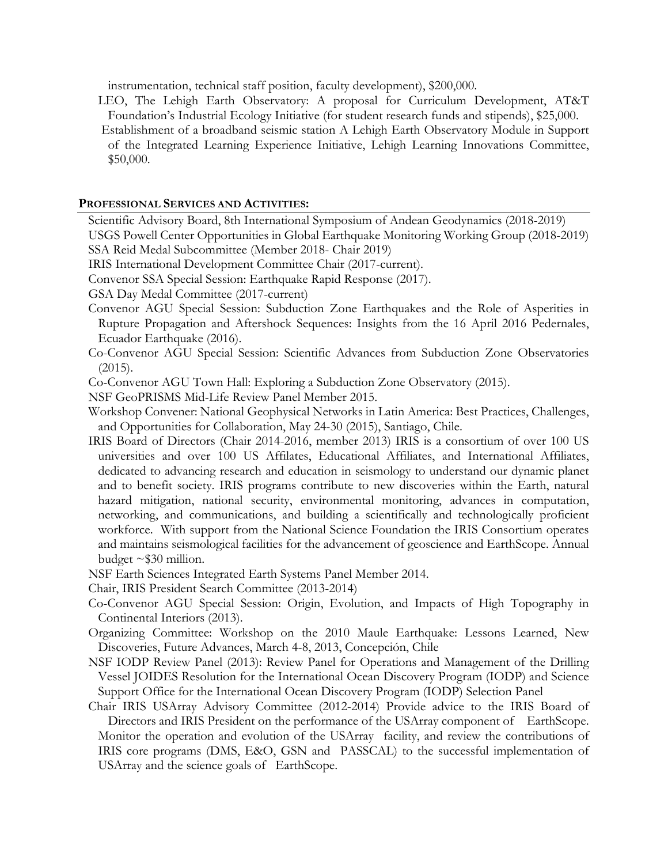instrumentation, technical staff position, faculty development), \$200,000.

LEO, The Lehigh Earth Observatory: A proposal for Curriculum Development, AT&T Foundation's Industrial Ecology Initiative (for student research funds and stipends), \$25,000. Establishment of a broadband seismic station A Lehigh Earth Observatory Module in Support of the Integrated Learning Experience Initiative, Lehigh Learning Innovations Committee, \$50,000.

## **PROFESSIONAL SERVICES AND ACTIVITIES:**

Scientific Advisory Board, 8th International Symposium of Andean Geodynamics (2018-2019)

USGS Powell Center Opportunities in Global Earthquake Monitoring Working Group (2018-2019) SSA Reid Medal Subcommittee (Member 2018- Chair 2019)

IRIS International Development Committee Chair (2017-current).

Convenor SSA Special Session: Earthquake Rapid Response (2017).

- GSA Day Medal Committee (2017-current)
- Convenor AGU Special Session: Subduction Zone Earthquakes and the Role of Asperities in Rupture Propagation and Aftershock Sequences: Insights from the 16 April 2016 Pedernales, Ecuador Earthquake (2016).
- Co-Convenor AGU Special Session: Scientific Advances from Subduction Zone Observatories (2015).
- Co-Convenor AGU Town Hall: Exploring a Subduction Zone Observatory (2015).
- NSF GeoPRISMS Mid-Life Review Panel Member 2015.
- Workshop Convener: National Geophysical Networks in Latin America: Best Practices, Challenges, and Opportunities for Collaboration, May 24-30 (2015), Santiago, Chile.
- IRIS Board of Directors (Chair 2014-2016, member 2013) IRIS is a consortium of over 100 US universities and over 100 US Affilates, Educational Affiliates, and International Affiliates, dedicated to advancing research and education in seismology to understand our dynamic planet and to benefit society. IRIS programs contribute to new discoveries within the Earth, natural hazard mitigation, national security, environmental monitoring, advances in computation, networking, and communications, and building a scientifically and technologically proficient workforce. With support from the National Science Foundation the IRIS Consortium operates and maintains seismological facilities for the advancement of geoscience and EarthScope. Annual budget  $\sim$ \$30 million.
- NSF Earth Sciences Integrated Earth Systems Panel Member 2014.

Chair, IRIS President Search Committee (2013-2014)

- Co-Convenor AGU Special Session: Origin, Evolution, and Impacts of High Topography in Continental Interiors (2013).
- Organizing Committee: Workshop on the 2010 Maule Earthquake: Lessons Learned, New Discoveries, Future Advances, March 4-8, 2013, Concepción, Chile
- NSF IODP Review Panel (2013): Review Panel for Operations and Management of the Drilling Vessel JOIDES Resolution for the International Ocean Discovery Program (IODP) and Science Support Office for the International Ocean Discovery Program (IODP) Selection Panel

Chair IRIS USArray Advisory Committee (2012-2014) Provide advice to the IRIS Board of Directors and IRIS President on the performance of the USArray component of EarthScope. Monitor the operation and evolution of the USArray facility, and review the contributions of IRIS core programs (DMS, E&O, GSN and PASSCAL) to the successful implementation of USArray and the science goals of EarthScope.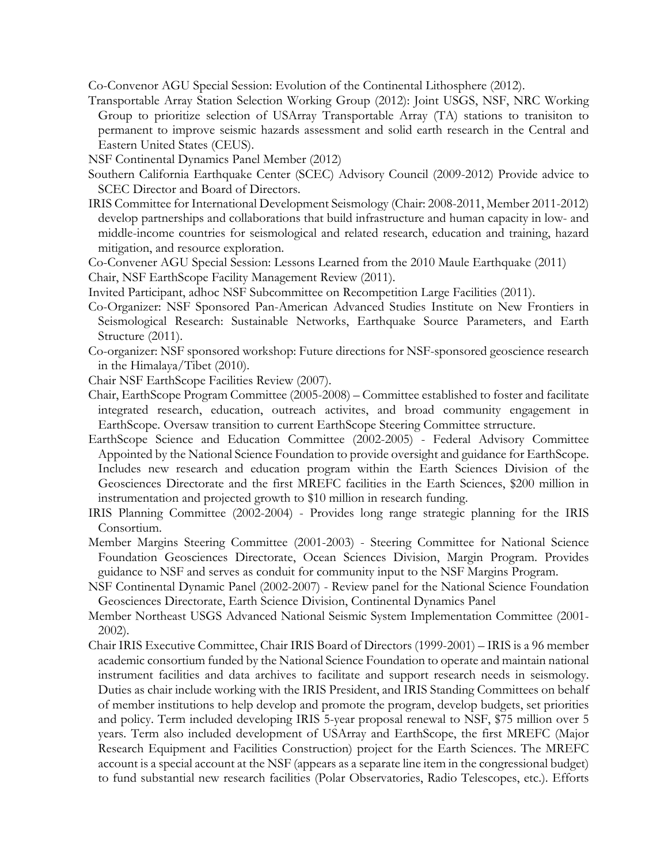Co-Convenor AGU Special Session: Evolution of the Continental Lithosphere (2012).

- Transportable Array Station Selection Working Group (2012): Joint USGS, NSF, NRC Working Group to prioritize selection of USArray Transportable Array (TA) stations to tranisiton to permanent to improve seismic hazards assessment and solid earth research in the Central and Eastern United States (CEUS).
- NSF Continental Dynamics Panel Member (2012)
- Southern California Earthquake Center (SCEC) Advisory Council (2009-2012) Provide advice to SCEC Director and Board of Directors.
- IRIS Committee for International Development Seismology (Chair: 2008-2011, Member 2011-2012) develop partnerships and collaborations that build infrastructure and human capacity in low- and middle-income countries for seismological and related research, education and training, hazard mitigation, and resource exploration.
- Co-Convener AGU Special Session: Lessons Learned from the 2010 Maule Earthquake (2011)
- Chair, NSF EarthScope Facility Management Review (2011).
- Invited Participant, adhoc NSF Subcommittee on Recompetition Large Facilities (2011).
- Co-Organizer: NSF Sponsored Pan-American Advanced Studies Institute on New Frontiers in Seismological Research: Sustainable Networks, Earthquake Source Parameters, and Earth Structure (2011).
- Co-organizer: NSF sponsored workshop: Future directions for NSF-sponsored geoscience research in the Himalaya/Tibet (2010).
- Chair NSF EarthScope Facilities Review (2007).
- Chair, EarthScope Program Committee (2005-2008) Committee established to foster and facilitate integrated research, education, outreach activites, and broad community engagement in EarthScope. Oversaw transition to current EarthScope Steering Committee strructure.
- EarthScope Science and Education Committee (2002-2005) Federal Advisory Committee Appointed by the National Science Foundation to provide oversight and guidance for EarthScope. Includes new research and education program within the Earth Sciences Division of the Geosciences Directorate and the first MREFC facilities in the Earth Sciences, \$200 million in instrumentation and projected growth to \$10 million in research funding.
- IRIS Planning Committee (2002-2004) Provides long range strategic planning for the IRIS Consortium.
- Member Margins Steering Committee (2001-2003) Steering Committee for National Science Foundation Geosciences Directorate, Ocean Sciences Division, Margin Program. Provides guidance to NSF and serves as conduit for community input to the NSF Margins Program.
- NSF Continental Dynamic Panel (2002-2007) Review panel for the National Science Foundation Geosciences Directorate, Earth Science Division, Continental Dynamics Panel
- Member Northeast USGS Advanced National Seismic System Implementation Committee (2001- 2002).
- Chair IRIS Executive Committee, Chair IRIS Board of Directors (1999-2001) IRIS is a 96 member academic consortium funded by the National Science Foundation to operate and maintain national instrument facilities and data archives to facilitate and support research needs in seismology. Duties as chair include working with the IRIS President, and IRIS Standing Committees on behalf of member institutions to help develop and promote the program, develop budgets, set priorities and policy. Term included developing IRIS 5-year proposal renewal to NSF, \$75 million over 5 years. Term also included development of USArray and EarthScope, the first MREFC (Major Research Equipment and Facilities Construction) project for the Earth Sciences. The MREFC account is a special account at the NSF (appears as a separate line item in the congressional budget) to fund substantial new research facilities (Polar Observatories, Radio Telescopes, etc.). Efforts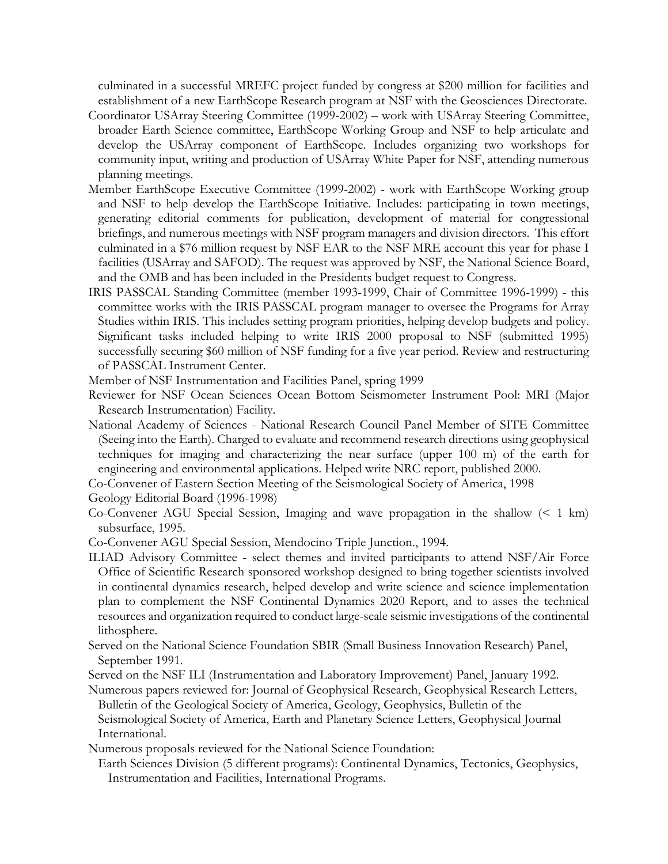culminated in a successful MREFC project funded by congress at \$200 million for facilities and establishment of a new EarthScope Research program at NSF with the Geosciences Directorate.

- Coordinator USArray Steering Committee (1999-2002) work with USArray Steering Committee, broader Earth Science committee, EarthScope Working Group and NSF to help articulate and develop the USArray component of EarthScope. Includes organizing two workshops for community input, writing and production of USArray White Paper for NSF, attending numerous planning meetings.
- Member EarthScope Executive Committee (1999-2002) work with EarthScope Working group and NSF to help develop the EarthScope Initiative. Includes: participating in town meetings, generating editorial comments for publication, development of material for congressional briefings, and numerous meetings with NSF program managers and division directors. This effort culminated in a \$76 million request by NSF EAR to the NSF MRE account this year for phase I facilities (USArray and SAFOD). The request was approved by NSF, the National Science Board, and the OMB and has been included in the Presidents budget request to Congress.
- IRIS PASSCAL Standing Committee (member 1993-1999, Chair of Committee 1996-1999) this committee works with the IRIS PASSCAL program manager to oversee the Programs for Array Studies within IRIS. This includes setting program priorities, helping develop budgets and policy. Significant tasks included helping to write IRIS 2000 proposal to NSF (submitted 1995) successfully securing \$60 million of NSF funding for a five year period. Review and restructuring of PASSCAL Instrument Center.

Member of NSF Instrumentation and Facilities Panel, spring 1999

- Reviewer for NSF Ocean Sciences Ocean Bottom Seismometer Instrument Pool: MRI (Major Research Instrumentation) Facility.
- National Academy of Sciences National Research Council Panel Member of SITE Committee (Seeing into the Earth). Charged to evaluate and recommend research directions using geophysical techniques for imaging and characterizing the near surface (upper 100 m) of the earth for engineering and environmental applications. Helped write NRC report, published 2000.

Co-Convener of Eastern Section Meeting of the Seismological Society of America, 1998

Geology Editorial Board (1996-1998)

- Co-Convener AGU Special Session, Imaging and wave propagation in the shallow (< 1 km) subsurface, 1995.
- Co-Convener AGU Special Session, Mendocino Triple Junction., 1994.
- ILIAD Advisory Committee select themes and invited participants to attend NSF/Air Force Office of Scientific Research sponsored workshop designed to bring together scientists involved in continental dynamics research, helped develop and write science and science implementation plan to complement the NSF Continental Dynamics 2020 Report, and to asses the technical resources and organization required to conduct large-scale seismic investigations of the continental lithosphere.
- Served on the National Science Foundation SBIR (Small Business Innovation Research) Panel, September 1991.
- Served on the NSF ILI (Instrumentation and Laboratory Improvement) Panel, January 1992.

Numerous papers reviewed for: Journal of Geophysical Research, Geophysical Research Letters, Bulletin of the Geological Society of America, Geology, Geophysics, Bulletin of the Seismological Society of America, Earth and Planetary Science Letters, Geophysical Journal International.

Numerous proposals reviewed for the National Science Foundation:

Earth Sciences Division (5 different programs): Continental Dynamics, Tectonics, Geophysics, Instrumentation and Facilities, International Programs.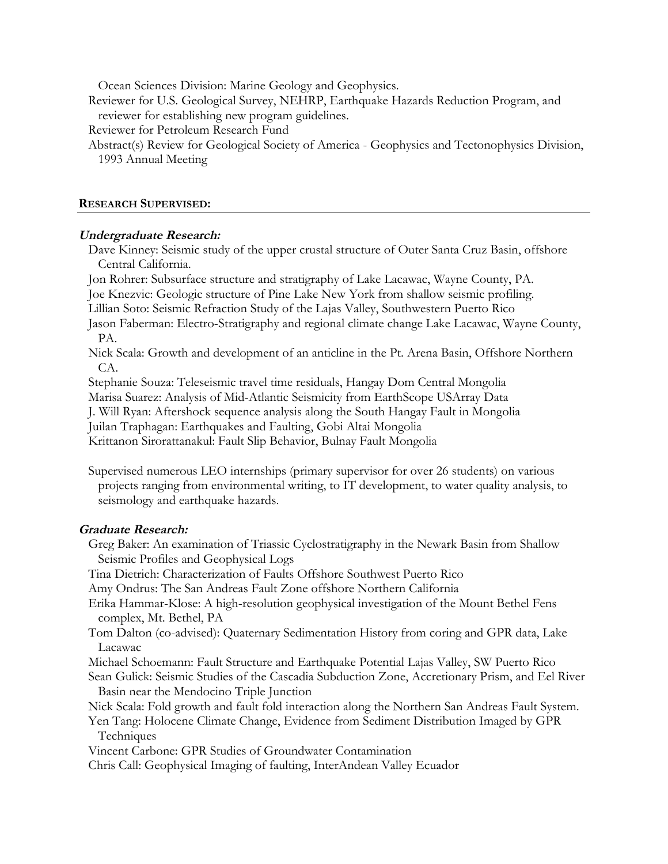Ocean Sciences Division: Marine Geology and Geophysics.

- Reviewer for U.S. Geological Survey, NEHRP, Earthquake Hazards Reduction Program, and reviewer for establishing new program guidelines.
- Reviewer for Petroleum Research Fund
- Abstract(s) Review for Geological Society of America Geophysics and Tectonophysics Division, 1993 Annual Meeting

## **RESEARCH SUPERVISED:**

## **Undergraduate Research:**

- Dave Kinney: Seismic study of the upper crustal structure of Outer Santa Cruz Basin, offshore Central California.
- Jon Rohrer: Subsurface structure and stratigraphy of Lake Lacawac, Wayne County, PA.
- Joe Knezvic: Geologic structure of Pine Lake New York from shallow seismic profiling.
- Lillian Soto: Seismic Refraction Study of the Lajas Valley, Southwestern Puerto Rico
- Jason Faberman: Electro-Stratigraphy and regional climate change Lake Lacawac, Wayne County, PA.
- Nick Scala: Growth and development of an anticline in the Pt. Arena Basin, Offshore Northern CA.
- Stephanie Souza: Teleseismic travel time residuals, Hangay Dom Central Mongolia
- Marisa Suarez: Analysis of Mid-Atlantic Seismicity from EarthScope USArray Data
- J. Will Ryan: Aftershock sequence analysis along the South Hangay Fault in Mongolia
- Juilan Traphagan: Earthquakes and Faulting, Gobi Altai Mongolia
- Krittanon Sirorattanakul: Fault Slip Behavior, Bulnay Fault Mongolia
- Supervised numerous LEO internships (primary supervisor for over 26 students) on various projects ranging from environmental writing, to IT development, to water quality analysis, to seismology and earthquake hazards.

#### **Graduate Research:**

Greg Baker: An examination of Triassic Cyclostratigraphy in the Newark Basin from Shallow Seismic Profiles and Geophysical Logs

Tina Dietrich: Characterization of Faults Offshore Southwest Puerto Rico

Amy Ondrus: The San Andreas Fault Zone offshore Northern California

Erika Hammar-Klose: A high-resolution geophysical investigation of the Mount Bethel Fens complex, Mt. Bethel, PA

- Tom Dalton (co-advised): Quaternary Sedimentation History from coring and GPR data, Lake Lacawac
- Michael Schoemann: Fault Structure and Earthquake Potential Lajas Valley, SW Puerto Rico

Sean Gulick: Seismic Studies of the Cascadia Subduction Zone, Accretionary Prism, and Eel River Basin near the Mendocino Triple Junction

- Nick Scala: Fold growth and fault fold interaction along the Northern San Andreas Fault System.
- Yen Tang: Holocene Climate Change, Evidence from Sediment Distribution Imaged by GPR Techniques
- Vincent Carbone: GPR Studies of Groundwater Contamination
- Chris Call: Geophysical Imaging of faulting, InterAndean Valley Ecuador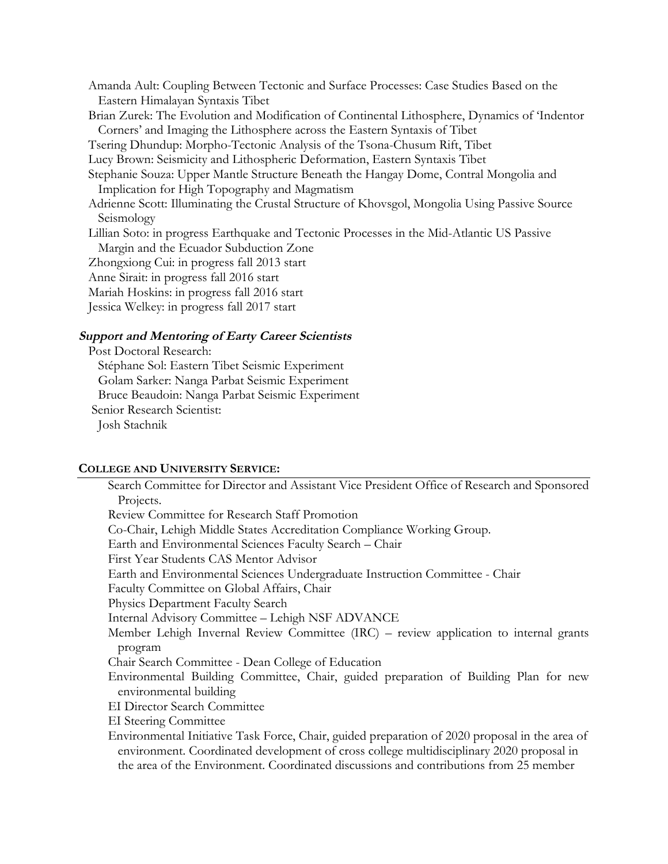Amanda Ault: Coupling Between Tectonic and Surface Processes: Case Studies Based on the Eastern Himalayan Syntaxis Tibet Brian Zurek: The Evolution and Modification of Continental Lithosphere, Dynamics of 'Indentor Corners' and Imaging the Lithosphere across the Eastern Syntaxis of Tibet Tsering Dhundup: Morpho-Tectonic Analysis of the Tsona-Chusum Rift, Tibet Lucy Brown: Seismicity and Lithospheric Deformation, Eastern Syntaxis Tibet Stephanie Souza: Upper Mantle Structure Beneath the Hangay Dome, Contral Mongolia and Implication for High Topography and Magmatism Adrienne Scott: Illuminating the Crustal Structure of Khovsgol, Mongolia Using Passive Source Seismology Lillian Soto: in progress Earthquake and Tectonic Processes in the Mid-Atlantic US Passive Margin and the Ecuador Subduction Zone Zhongxiong Cui: in progress fall 2013 start Anne Sirait: in progress fall 2016 start Mariah Hoskins: in progress fall 2016 start Jessica Welkey: in progress fall 2017 start **Support and Mentoring of Earty Career Scientists**

Post Doctoral Research: Stéphane Sol: Eastern Tibet Seismic Experiment Golam Sarker: Nanga Parbat Seismic Experiment Bruce Beaudoin: Nanga Parbat Seismic Experiment Senior Research Scientist: Josh Stachnik

#### **COLLEGE AND UNIVERSITY SERVICE:**

Search Committee for Director and Assistant Vice President Office of Research and Sponsored Projects. Review Committee for Research Staff Promotion Co-Chair, Lehigh Middle States Accreditation Compliance Working Group. Earth and Environmental Sciences Faculty Search – Chair First Year Students CAS Mentor Advisor Earth and Environmental Sciences Undergraduate Instruction Committee - Chair Faculty Committee on Global Affairs, Chair Physics Department Faculty Search Internal Advisory Committee – Lehigh NSF ADVANCE Member Lehigh Invernal Review Committee (IRC) – review application to internal grants program Chair Search Committee - Dean College of Education Environmental Building Committee, Chair, guided preparation of Building Plan for new environmental building EI Director Search Committee EI Steering Committee Environmental Initiative Task Force, Chair, guided preparation of 2020 proposal in the area of environment. Coordinated development of cross college multidisciplinary 2020 proposal in the area of the Environment. Coordinated discussions and contributions from 25 member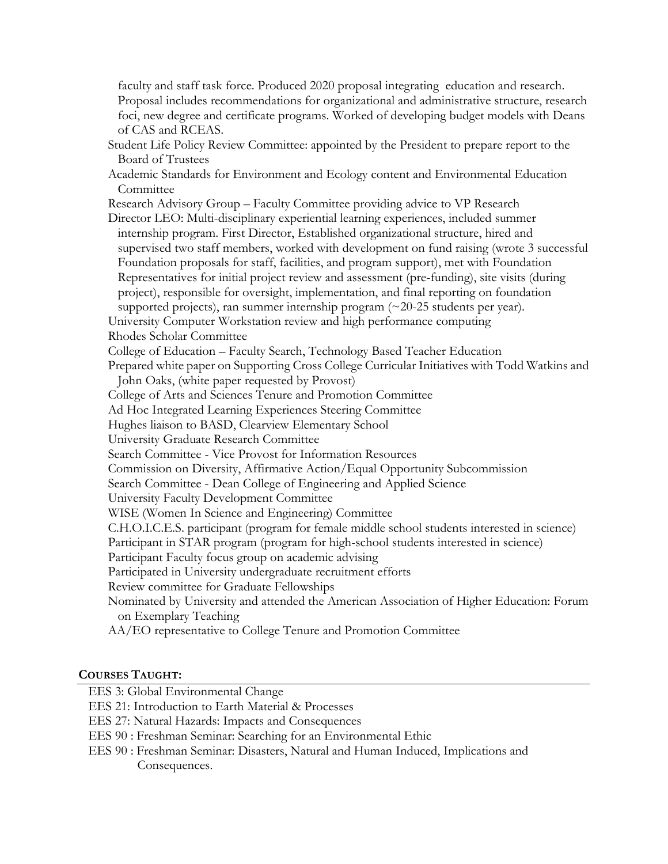faculty and staff task force. Produced 2020 proposal integrating education and research. Proposal includes recommendations for organizational and administrative structure, research foci, new degree and certificate programs. Worked of developing budget models with Deans of CAS and RCEAS.

Student Life Policy Review Committee: appointed by the President to prepare report to the Board of Trustees

Academic Standards for Environment and Ecology content and Environmental Education Committee

Research Advisory Group – Faculty Committee providing advice to VP Research

Director LEO: Multi-disciplinary experiential learning experiences, included summer internship program. First Director, Established organizational structure, hired and supervised two staff members, worked with development on fund raising (wrote 3 successful Foundation proposals for staff, facilities, and program support), met with Foundation Representatives for initial project review and assessment (pre-funding), site visits (during project), responsible for oversight, implementation, and final reporting on foundation supported projects), ran summer internship program  $(\sim 20-25)$  students per year).

University Computer Workstation review and high performance computing

Rhodes Scholar Committee

College of Education – Faculty Search, Technology Based Teacher Education

Prepared white paper on Supporting Cross College Curricular Initiatives with Todd Watkins and John Oaks, (white paper requested by Provost)

College of Arts and Sciences Tenure and Promotion Committee

Ad Hoc Integrated Learning Experiences Steering Committee

Hughes liaison to BASD, Clearview Elementary School

University Graduate Research Committee

Search Committee - Vice Provost for Information Resources

Commission on Diversity, Affirmative Action/Equal Opportunity Subcommission

Search Committee - Dean College of Engineering and Applied Science

University Faculty Development Committee

WISE (Women In Science and Engineering) Committee

C.H.O.I.C.E.S. participant (program for female middle school students interested in science)

Participant in STAR program (program for high-school students interested in science)

Participant Faculty focus group on academic advising

Participated in University undergraduate recruitment efforts

Review committee for Graduate Fellowships

Nominated by University and attended the American Association of Higher Education: Forum on Exemplary Teaching

AA/EO representative to College Tenure and Promotion Committee

# **COURSES TAUGHT:**

EES 3: Global Environmental Change

EES 21: Introduction to Earth Material & Processes

EES 27: Natural Hazards: Impacts and Consequences

EES 90 : Freshman Seminar: Searching for an Environmental Ethic

EES 90 : Freshman Seminar: Disasters, Natural and Human Induced, Implications and Consequences.